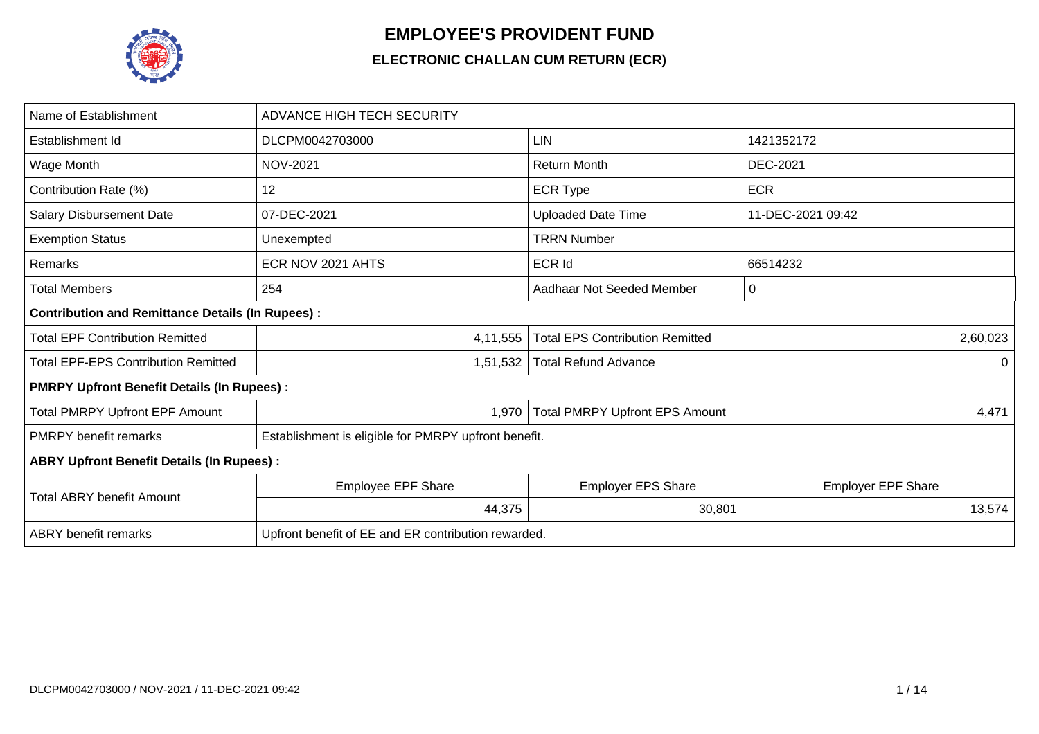

## **EMPLOYEE'S PROVIDENT FUND**

## **ELECTRONIC CHALLAN CUM RETURN (ECR)**

| Name of Establishment                                   | <b>ADVANCE HIGH TECH SECURITY</b>                    |                                        |                           |  |  |  |  |  |  |  |
|---------------------------------------------------------|------------------------------------------------------|----------------------------------------|---------------------------|--|--|--|--|--|--|--|
| Establishment Id                                        | DLCPM0042703000                                      | LIN                                    | 1421352172                |  |  |  |  |  |  |  |
| Wage Month                                              | <b>NOV-2021</b>                                      | <b>Return Month</b>                    | <b>DEC-2021</b>           |  |  |  |  |  |  |  |
| Contribution Rate (%)                                   | 12                                                   | <b>ECR Type</b>                        | <b>ECR</b>                |  |  |  |  |  |  |  |
| <b>Salary Disbursement Date</b>                         | 07-DEC-2021                                          | <b>Uploaded Date Time</b>              | 11-DEC-2021 09:42         |  |  |  |  |  |  |  |
| <b>Exemption Status</b>                                 | Unexempted                                           | <b>TRRN Number</b>                     |                           |  |  |  |  |  |  |  |
| Remarks                                                 | ECR NOV 2021 AHTS                                    | <b>ECR Id</b>                          | 66514232                  |  |  |  |  |  |  |  |
| <b>Total Members</b>                                    | 254                                                  | Aadhaar Not Seeded Member              | 0                         |  |  |  |  |  |  |  |
| <b>Contribution and Remittance Details (In Rupees):</b> |                                                      |                                        |                           |  |  |  |  |  |  |  |
| <b>Total EPF Contribution Remitted</b>                  | 4,11,555                                             | <b>Total EPS Contribution Remitted</b> | 2,60,023                  |  |  |  |  |  |  |  |
| <b>Total EPF-EPS Contribution Remitted</b>              | 1,51,532                                             | <b>Total Refund Advance</b>            | $\Omega$                  |  |  |  |  |  |  |  |
| <b>PMRPY Upfront Benefit Details (In Rupees):</b>       |                                                      |                                        |                           |  |  |  |  |  |  |  |
| <b>Total PMRPY Upfront EPF Amount</b>                   | 1,970                                                | <b>Total PMRPY Upfront EPS Amount</b>  | 4,471                     |  |  |  |  |  |  |  |
| <b>PMRPY benefit remarks</b>                            | Establishment is eligible for PMRPY upfront benefit. |                                        |                           |  |  |  |  |  |  |  |
| <b>ABRY Upfront Benefit Details (In Rupees):</b>        |                                                      |                                        |                           |  |  |  |  |  |  |  |
| <b>Total ABRY benefit Amount</b>                        | <b>Employee EPF Share</b>                            | <b>Employer EPS Share</b>              | <b>Employer EPF Share</b> |  |  |  |  |  |  |  |
|                                                         | 44,375                                               | 30,801                                 | 13,574                    |  |  |  |  |  |  |  |
| <b>ABRY</b> benefit remarks                             | Upfront benefit of EE and ER contribution rewarded.  |                                        |                           |  |  |  |  |  |  |  |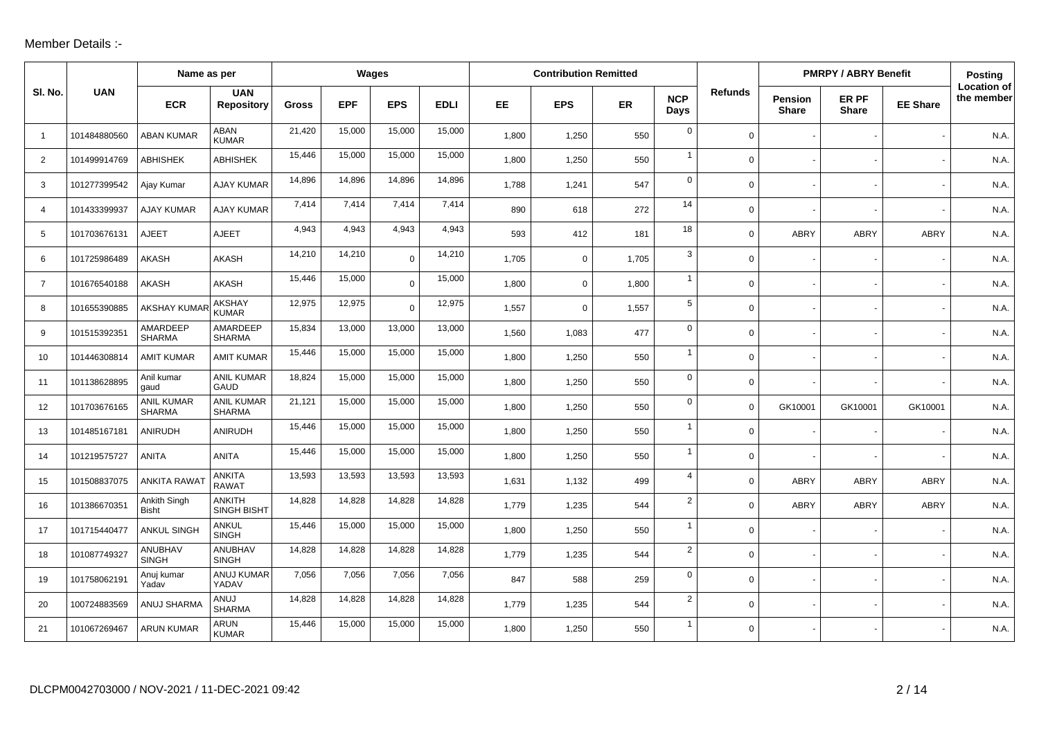## Member Details :-

|                |              | Name as per                        |                                    |              |            | Wages      |             |           | <b>Contribution Remitted</b> |       |                    |                |                                | <b>PMRPY / ABRY Benefit</b> |                 | Posting                          |
|----------------|--------------|------------------------------------|------------------------------------|--------------|------------|------------|-------------|-----------|------------------------------|-------|--------------------|----------------|--------------------------------|-----------------------------|-----------------|----------------------------------|
| SI. No.        | <b>UAN</b>   | <b>ECR</b>                         | <b>UAN</b><br>Repository           | <b>Gross</b> | <b>EPF</b> | <b>EPS</b> | <b>EDLI</b> | <b>EE</b> | <b>EPS</b>                   | ER    | <b>NCP</b><br>Days | <b>Refunds</b> | <b>Pension</b><br><b>Share</b> | ER PF<br><b>Share</b>       | <b>EE Share</b> | <b>Location of</b><br>the member |
| $\overline{1}$ | 101484880560 | <b>ABAN KUMAR</b>                  | ABAN<br><b>KUMAR</b>               | 21,420       | 15,000     | 15,000     | 15,000      | 1,800     | 1,250                        | 550   | $\mathbf 0$        | $\mathbf 0$    |                                |                             |                 | N.A.                             |
| $\overline{2}$ | 101499914769 | <b>ABHISHEK</b>                    | ABHISHEK                           | 15,446       | 15,000     | 15,000     | 15,000      | 1,800     | 1,250                        | 550   | $\mathbf{1}$       | $\Omega$       |                                |                             |                 | N.A.                             |
| 3              | 101277399542 | Ajay Kumar                         | <b>AJAY KUMAR</b>                  | 14,896       | 14,896     | 14,896     | 14,896      | 1,788     | 1,241                        | 547   | $\mathbf 0$        | $\overline{0}$ |                                |                             |                 | N.A                              |
| 4              | 101433399937 | <b>AJAY KUMAR</b>                  | <b>AJAY KUMAR</b>                  | 7,414        | 7,414      | 7,414      | 7,414       | 890       | 618                          | 272   | 14                 | $\mathbf 0$    |                                |                             |                 | N.A.                             |
| 5              | 101703676131 | AJEET                              | <b>AJEET</b>                       | 4,943        | 4,943      | 4,943      | 4,943       | 593       | 412                          | 181   | 18                 | $\Omega$       | <b>ABRY</b>                    | ABRY                        | <b>ABRY</b>     | N.A.                             |
| 6              | 101725986489 | <b>AKASH</b>                       | <b>AKASH</b>                       | 14,210       | 14,210     | $\Omega$   | 14,210      | 1,705     | $\mathbf 0$                  | 1,705 | 3                  | $\overline{0}$ |                                |                             |                 | N.A.                             |
| $\overline{7}$ | 101676540188 | AKASH                              | <b>AKASH</b>                       | 15,446       | 15,000     | $\Omega$   | 15,000      | 1,800     | $\mathbf 0$                  | 1,800 | $\mathbf{1}$       | $\Omega$       |                                |                             |                 | N.A.                             |
| 8              | 101655390885 | <b>AKSHAY KUMA</b>                 | <b>AKSHAY</b><br><b>KUMAR</b>      | 12,975       | 12,975     | $\Omega$   | 12,975      | 1,557     | $\mathbf 0$                  | 1,557 | 5                  | $\overline{0}$ |                                |                             |                 | N.A.                             |
| 9              | 101515392351 | <b>AMARDEEP</b><br><b>SHARMA</b>   | <b>AMARDEEP</b><br><b>SHARMA</b>   | 15,834       | 13,000     | 13,000     | 13,000      | 1,560     | 1,083                        | 477   | $\mathbf 0$        | 0              |                                |                             |                 | N.A.                             |
| 10             | 101446308814 | <b>AMIT KUMAR</b>                  | <b>AMIT KUMAR</b>                  | 15,446       | 15,000     | 15,000     | 15,000      | 1,800     | 1,250                        | 550   | $\mathbf{1}$       | $\Omega$       |                                |                             |                 | N.A.                             |
| 11             | 101138628895 | Anil kumar<br>gaud                 | ANIL KUMAR<br>GAUD                 | 18,824       | 15,000     | 15,000     | 15,000      | 1,800     | 1,250                        | 550   | $\mathbf 0$        | 0              |                                |                             |                 | N.A.                             |
| 12             | 101703676165 | <b>ANIL KUMAR</b><br><b>SHARMA</b> | <b>ANIL KUMAR</b><br><b>SHARMA</b> | 21,121       | 15,000     | 15,000     | 15,000      | 1,800     | 1,250                        | 550   | $\mathbf{0}$       | 0              | GK10001                        | GK10001                     | GK10001         | N.A.                             |
| 13             | 101485167181 | ANIRUDH                            | ANIRUDH                            | 15,446       | 15,000     | 15,000     | 15,000      | 1,800     | 1,250                        | 550   | $\mathbf{1}$       | $\Omega$       |                                |                             |                 | N.A.                             |
| 14             | 101219575727 | <b>ANITA</b>                       | <b>ANITA</b>                       | 15,446       | 15,000     | 15,000     | 15,000      | 1,800     | 1,250                        | 550   | $\overline{1}$     | 0              |                                |                             |                 | N.A.                             |
| 15             | 101508837075 | <b>ANKITA RAWAT</b>                | <b>ANKITA</b><br><b>RAWAT</b>      | 13,593       | 13,593     | 13,593     | 13,593      | 1,631     | 1,132                        | 499   | $\overline{4}$     | 0              | <b>ABRY</b>                    | ABRY                        | <b>ABRY</b>     | N.A.                             |
| 16             | 101386670351 | Ankith Singh<br><b>Bisht</b>       | <b>ANKITH</b><br>SINGH BISHT       | 14,828       | 14,828     | 14,828     | 14,828      | 1,779     | 1,235                        | 544   | $\overline{2}$     | $\Omega$       | <b>ABRY</b>                    | ABRY                        | <b>ABRY</b>     | N.A.                             |
| 17             | 101715440477 | <b>ANKUL SINGH</b>                 | ANKUL<br><b>SINGH</b>              | 15,446       | 15,000     | 15,000     | 15,000      | 1,800     | 1,250                        | 550   | $\mathbf{1}$       | 0              |                                |                             |                 | N.A.                             |
| 18             | 101087749327 | ANUBHAV<br><b>SINGH</b>            | ANUBHAV<br><b>SINGH</b>            | 14,828       | 14,828     | 14,828     | 14,828      | 1,779     | 1,235                        | 544   | $\overline{2}$     | $\Omega$       |                                |                             |                 | N.A.                             |
| 19             | 101758062191 | Anuj kumar<br>Yadav                | ANUJ KUMAR<br>YADAV                | 7,056        | 7,056      | 7,056      | 7,056       | 847       | 588                          | 259   | $\mathbf 0$        | $\Omega$       |                                |                             |                 | N.A.                             |
| 20             | 100724883569 | ANUJ SHARMA                        | ANUJ<br><b>SHARMA</b>              | 14,828       | 14,828     | 14,828     | 14,828      | 1,779     | 1,235                        | 544   | $\overline{2}$     | 0              |                                |                             |                 | N.A.                             |
| 21             | 101067269467 | <b>ARUN KUMAR</b>                  | ARUN<br><b>KUMAR</b>               | 15,446       | 15,000     | 15,000     | 15,000      | 1,800     | 1,250                        | 550   | $\mathbf{1}$       | 0              |                                |                             |                 | N.A.                             |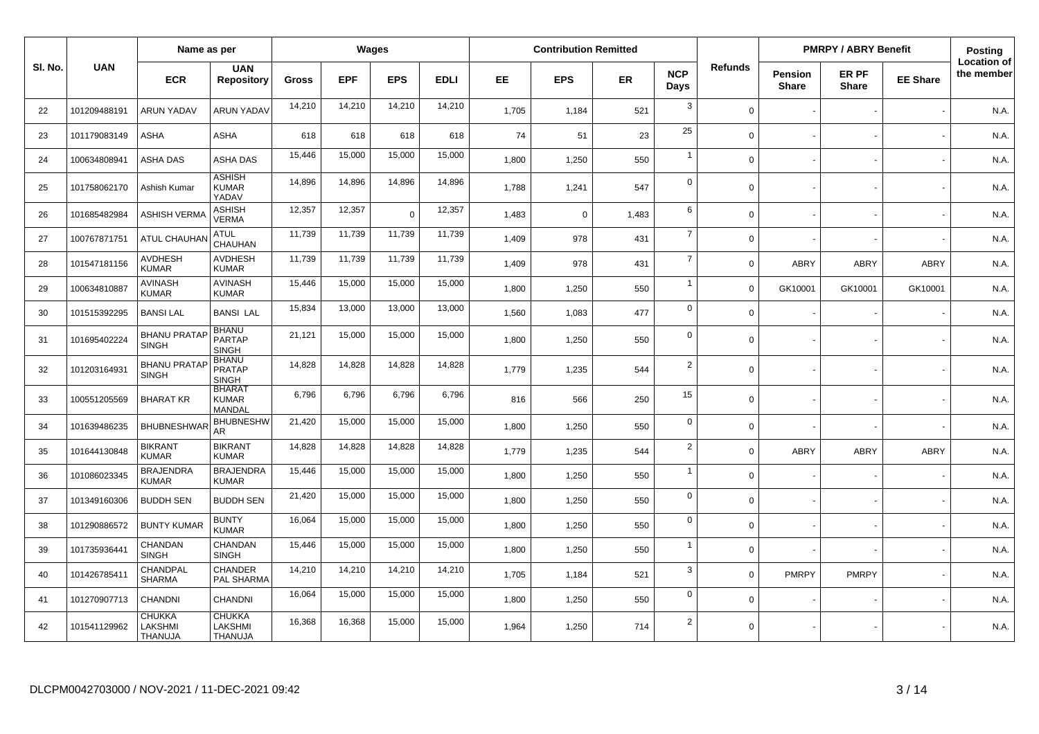|         |              | Name as per                         |                                                |              |            | Wages      |             |       | <b>Contribution Remitted</b> |       |                    |                |                                | <b>PMRPY / ABRY Benefit</b> |                 | Posting                          |
|---------|--------------|-------------------------------------|------------------------------------------------|--------------|------------|------------|-------------|-------|------------------------------|-------|--------------------|----------------|--------------------------------|-----------------------------|-----------------|----------------------------------|
| SI. No. | <b>UAN</b>   | <b>ECR</b>                          | <b>UAN</b><br><b>Repository</b>                | <b>Gross</b> | <b>EPF</b> | <b>EPS</b> | <b>EDLI</b> | EE.   | <b>EPS</b>                   | ER    | <b>NCP</b><br>Days | <b>Refunds</b> | <b>Pension</b><br><b>Share</b> | ER PF<br><b>Share</b>       | <b>EE Share</b> | <b>Location of</b><br>the member |
| 22      | 101209488191 | <b>ARUN YADAV</b>                   | ARUN YADAV                                     | 14,210       | 14,210     | 14,210     | 14,210      | 1,705 | 1,184                        | 521   | 3                  | $\Omega$       |                                |                             |                 | N.A.                             |
| 23      | 101179083149 | ASHA                                | ASHA                                           | 618          | 618        | 618        | 618         | 74    | 51                           | 23    | 25                 | $\Omega$       |                                |                             |                 | N.A.                             |
| 24      | 100634808941 | ASHA DAS                            | ASHA DAS                                       | 15,446       | 15,000     | 15,000     | 15,000      | 1,800 | 1,250                        | 550   | $\overline{1}$     | $\Omega$       |                                |                             |                 | N.A.                             |
| 25      | 101758062170 | Ashish Kumar                        | <b>ASHISH</b><br><b>KUMAR</b><br>YADAV         | 14,896       | 14,896     | 14,896     | 14,896      | 1,788 | 1,241                        | 547   | $\mathbf 0$        | $\Omega$       |                                |                             |                 | N.A.                             |
| 26      | 101685482984 | <b>ASHISH VERMA</b>                 | ASHISH<br>VERMA                                | 12,357       | 12,357     | $\Omega$   | 12,357      | 1,483 | $\mathbf 0$                  | 1,483 | 6                  | $\Omega$       |                                |                             |                 | N.A.                             |
| 27      | 100767871751 | <b>ATUL CHAUHA</b>                  | <b>ATUL</b><br><b>CHAUHAN</b>                  | 11,739       | 11,739     | 11,739     | 11,739      | 1,409 | 978                          | 431   | $\overline{7}$     | $\Omega$       |                                |                             |                 | N.A.                             |
| 28      | 101547181156 | <b>AVDHESH</b><br><b>KUMAR</b>      | <b>AVDHESH</b><br><b>KUMAR</b>                 | 11,739       | 11,739     | 11,739     | 11,739      | 1,409 | 978                          | 431   | $\overline{7}$     | $\Omega$       | ABRY                           | <b>ABRY</b>                 | ABRY            | N.A.                             |
| 29      | 100634810887 | <b>AVINASH</b><br><b>KUMAR</b>      | <b>AVINASH</b><br><b>KUMAR</b>                 | 15,446       | 15,000     | 15,000     | 15,000      | 1,800 | 1,250                        | 550   | $\overline{1}$     | $\Omega$       | GK10001                        | GK10001                     | GK10001         | N.A.                             |
| 30      | 101515392295 | <b>BANSILAL</b>                     | <b>BANSI LAL</b>                               | 15,834       | 13,000     | 13,000     | 13,000      | 1,560 | 1,083                        | 477   | $\mathbf 0$        | $\Omega$       |                                |                             |                 | N.A.                             |
| 31      | 101695402224 | <b>BHANU PRATAP</b><br><b>SINGH</b> | <b>BHANU</b><br><b>PARTAP</b><br><b>SINGH</b>  | 21,121       | 15,000     | 15,000     | 15,000      | 1.800 | 1,250                        | 550   | $\mathbf 0$        | $\Omega$       |                                |                             |                 | N.A.                             |
| 32      | 101203164931 | <b>BHANU PRATA</b><br><b>SINGH</b>  | <b>BHANU</b><br><b>PRATAP</b><br><b>SINGH</b>  | 14,828       | 14,828     | 14,828     | 14,828      | 1,779 | 1,235                        | 544   | $\overline{2}$     | $\Omega$       |                                |                             |                 | N.A.                             |
| 33      | 100551205569 | <b>BHARAT KR</b>                    | <b>BHARAT</b><br><b>KUMAR</b><br><b>MANDAL</b> | 6,796        | 6,796      | 6,796      | 6,796       | 816   | 566                          | 250   | 15                 | $\Omega$       |                                |                             |                 | N.A.                             |
| 34      | 101639486235 | <b>BHUBNESHWAF</b>                  | <b>BHUBNESHW</b><br>AR                         | 21,420       | 15,000     | 15,000     | 15,000      | 1,800 | 1,250                        | 550   | $\mathbf 0$        | $\Omega$       |                                |                             |                 | N.A.                             |
| 35      | 101644130848 | <b>BIKRANT</b><br><b>KUMAR</b>      | <b>BIKRANT</b><br><b>KUMAR</b>                 | 14,828       | 14,828     | 14,828     | 14,828      | 1,779 | 1,235                        | 544   | $\overline{2}$     | $\Omega$       | ABRY                           | <b>ABRY</b>                 | <b>ABRY</b>     | N.A.                             |
| 36      | 101086023345 | <b>BRAJENDRA</b><br><b>KUMAR</b>    | <b>BRAJENDRA</b><br><b>KUMAR</b>               | 15,446       | 15,000     | 15,000     | 15,000      | 1,800 | 1,250                        | 550   | $\overline{1}$     | $\Omega$       |                                |                             |                 | N.A.                             |
| 37      | 101349160306 | <b>BUDDH SEN</b>                    | <b>BUDDH SEN</b>                               | 21,420       | 15,000     | 15,000     | 15,000      | 1,800 | 1,250                        | 550   | $\mathbf 0$        | $\mathbf 0$    |                                |                             |                 | N.A.                             |
| 38      | 101290886572 | <b>BUNTY KUMAR</b>                  | <b>BUNTY</b><br><b>KUMAR</b>                   | 16,064       | 15,000     | 15,000     | 15,000      | 1,800 | 1,250                        | 550   | $\mathbf 0$        | $\mathbf 0$    |                                |                             |                 | N.A.                             |
| 39      | 101735936441 | CHANDAN<br><b>SINGH</b>             | CHANDAN<br><b>SINGH</b>                        | 15,446       | 15,000     | 15,000     | 15,000      | 1.800 | 1,250                        | 550   | $\overline{1}$     | $\Omega$       |                                |                             |                 | N.A.                             |
| 40      | 101426785411 | CHANDPAL<br><b>SHARMA</b>           | <b>CHANDER</b><br>PAL SHARMA                   | 14,210       | 14,210     | 14,210     | 14,210      | 1.705 | 1,184                        | 521   | 3                  | $\Omega$       | <b>PMRPY</b>                   | <b>PMRPY</b>                |                 | N.A.                             |
| 41      | 101270907713 | <b>CHANDNI</b>                      | CHANDNI                                        | 16,064       | 15,000     | 15,000     | 15,000      | 1,800 | 1,250                        | 550   | $\mathbf 0$        | $\Omega$       |                                |                             |                 | N.A.                             |
| 42      | 101541129962 | <b>CHUKKA</b><br>LAKSHMI<br>THANUJA | <b>CHUKKA</b><br>LAKSHMI<br>THANUJA            | 16,368       | 16,368     | 15,000     | 15,000      | 1,964 | 1,250                        | 714   | $\overline{2}$     | $\Omega$       |                                |                             |                 | N.A.                             |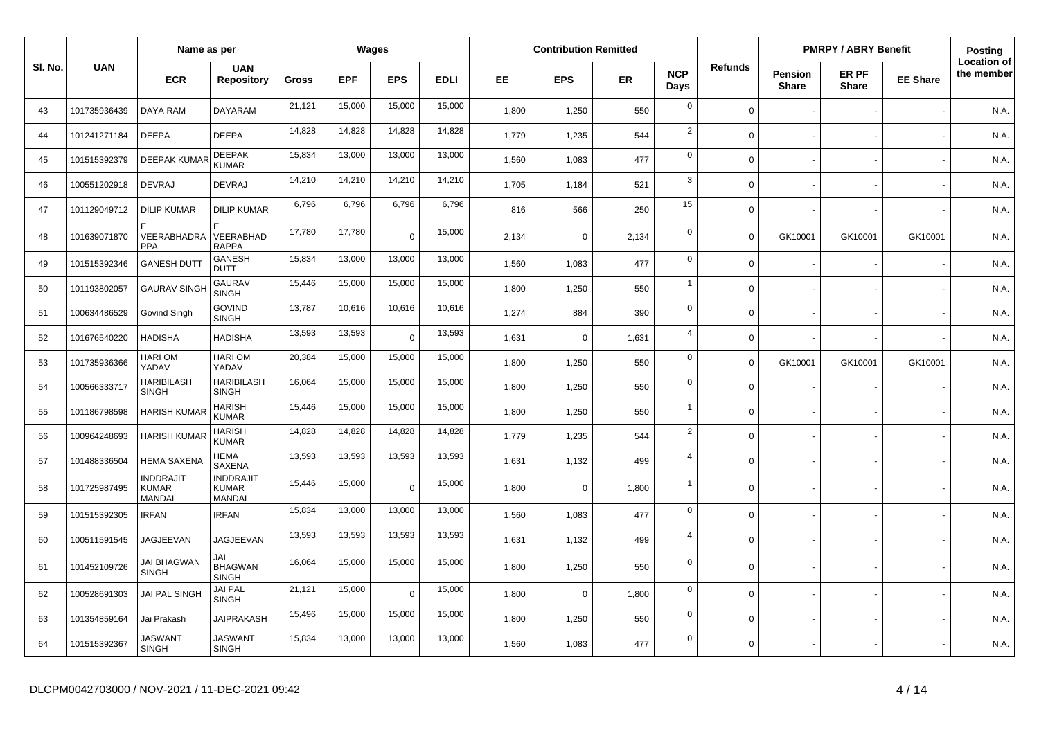|         |              | Name as per                                |                                            |              |            | Wages      |             |       | <b>Contribution Remitted</b> |           |                    |                |                                | <b>PMRPY / ABRY Benefit</b> |                 | Posting                          |
|---------|--------------|--------------------------------------------|--------------------------------------------|--------------|------------|------------|-------------|-------|------------------------------|-----------|--------------------|----------------|--------------------------------|-----------------------------|-----------------|----------------------------------|
| SI. No. | <b>UAN</b>   | <b>ECR</b>                                 | <b>UAN</b><br><b>Repository</b>            | <b>Gross</b> | <b>EPF</b> | <b>EPS</b> | <b>EDLI</b> | EE.   | <b>EPS</b>                   | <b>ER</b> | <b>NCP</b><br>Days | <b>Refunds</b> | <b>Pension</b><br><b>Share</b> | ER PF<br><b>Share</b>       | <b>EE Share</b> | <b>Location of</b><br>the member |
| 43      | 101735936439 | <b>DAYA RAM</b>                            | <b>DAYARAM</b>                             | 21,121       | 15,000     | 15,000     | 15,000      | 1,800 | 1,250                        | 550       | $\mathbf 0$        | $\mathbf 0$    |                                |                             |                 | N.A.                             |
| 44      | 101241271184 | <b>DEEPA</b>                               | <b>DEEPA</b>                               | 14,828       | 14,828     | 14,828     | 14,828      | 1.779 | 1,235                        | 544       | $\sqrt{2}$         | $\mathbf 0$    |                                |                             |                 | N.A.                             |
| 45      | 101515392379 | <b>DEEPAK KUMAR</b>                        | <b>DEEPAK</b><br><b>KUMAR</b>              | 15,834       | 13,000     | 13,000     | 13,000      | 1,560 | 1,083                        | 477       | $\mathbf 0$        | $\mathbf 0$    |                                |                             |                 | N.A.                             |
| 46      | 100551202918 | <b>DEVRAJ</b>                              | <b>DEVRAJ</b>                              | 14,210       | 14,210     | 14,210     | 14,210      | 1,705 | 1,184                        | 521       | 3                  | $\mathbf 0$    |                                |                             |                 | N.A.                             |
| 47      | 101129049712 | <b>DILIP KUMAR</b>                         | <b>DILIP KUMAR</b>                         | 6,796        | 6,796      | 6,796      | 6,796       | 816   | 566                          | 250       | 15                 | $\Omega$       |                                |                             |                 | N.A.                             |
| 48      | 101639071870 | E.<br>VEERABHADRA<br><b>PPA</b>            | E<br>VEERABHAD<br><b>RAPPA</b>             | 17,780       | 17,780     | $\Omega$   | 15,000      | 2,134 | $\mathbf 0$                  | 2,134     | $\mathbf 0$        | $\Omega$       | GK10001                        | GK10001                     | GK10001         | N.A.                             |
| 49      | 101515392346 | <b>GANESH DUTT</b>                         | <b>GANESH</b><br><b>DUTT</b>               | 15,834       | 13,000     | 13,000     | 13,000      | 1,560 | 1,083                        | 477       | $\mathbf 0$        | $\mathbf 0$    |                                |                             |                 | N.A.                             |
| 50      | 101193802057 | <b>GAURAV SING</b>                         | <b>GAURAV</b><br><b>SINGH</b>              | 15,446       | 15,000     | 15,000     | 15,000      | 1,800 | 1,250                        | 550       | $\overline{1}$     | $\Omega$       |                                |                             |                 | N.A.                             |
| 51      | 100634486529 | Govind Singh                               | <b>GOVIND</b><br><b>SINGH</b>              | 13,787       | 10,616     | 10,616     | 10,616      | 1,274 | 884                          | 390       | $\mathbf 0$        | $\Omega$       |                                |                             |                 | N.A.                             |
| 52      | 101676540220 | <b>HADISHA</b>                             | <b>HADISHA</b>                             | 13,593       | 13,593     | $\Omega$   | 13,593      | 1,631 | $\mathbf 0$                  | 1,631     | $\overline{4}$     | $\Omega$       |                                |                             |                 | N.A.                             |
| 53      | 101735936366 | <b>HARIOM</b><br>YADAV                     | <b>HARIOM</b><br>YADAV                     | 20,384       | 15,000     | 15,000     | 15,000      | 1,800 | 1,250                        | 550       | $\mathbf 0$        | $\Omega$       | GK10001                        | GK10001                     | GK10001         | N.A.                             |
| 54      | 100566333717 | <b>HARIBILASH</b><br><b>SINGH</b>          | <b>HARIBILASH</b><br><b>SINGH</b>          | 16,064       | 15,000     | 15,000     | 15,000      | 1,800 | 1,250                        | 550       | $\mathbf 0$        | $\Omega$       |                                |                             |                 | N.A.                             |
| 55      | 101186798598 | <b>HARISH KUMAF</b>                        | <b>HARISH</b><br><b>KUMAR</b>              | 15,446       | 15,000     | 15,000     | 15,000      | 1,800 | 1,250                        | 550       | $\mathbf{1}$       | $\Omega$       |                                |                             |                 | N.A.                             |
| 56      | 100964248693 | <b>HARISH KUMAF</b>                        | <b>HARISH</b><br><b>KUMAR</b>              | 14,828       | 14,828     | 14,828     | 14,828      | 1,779 | 1,235                        | 544       | $\overline{2}$     | $\Omega$       |                                |                             |                 | N.A.                             |
| 57      | 101488336504 | <b>HEMA SAXENA</b>                         | <b>HEMA</b><br><b>SAXENA</b>               | 13,593       | 13,593     | 13,593     | 13,593      | 1,631 | 1,132                        | 499       | $\overline{4}$     | $\Omega$       |                                |                             |                 | N.A.                             |
| 58      | 101725987495 | <b>INDDRAJIT</b><br><b>KUMAR</b><br>MANDAL | <b>INDDRAJIT</b><br><b>KUMAR</b><br>MANDAL | 15,446       | 15,000     | $\Omega$   | 15,000      | 1,800 | $\Omega$                     | 1,800     | $\overline{1}$     | $\Omega$       |                                |                             |                 | N.A.                             |
| 59      | 101515392305 | <b>IRFAN</b>                               | <b>IRFAN</b>                               | 15,834       | 13,000     | 13,000     | 13,000      | 1.560 | 1,083                        | 477       | $\mathbf 0$        | $\Omega$       |                                |                             |                 | N.A.                             |
| 60      | 100511591545 | <b>JAGJEEVAN</b>                           | <b>JAGJEEVAN</b>                           | 13,593       | 13,593     | 13,593     | 13,593      | 1,631 | 1,132                        | 499       | $\overline{4}$     | $\Omega$       |                                |                             |                 | N.A.                             |
| 61      | 101452109726 | <b>JAI BHAGWAN</b><br><b>SINGH</b>         | JAI<br><b>BHAGWAN</b><br><b>SINGH</b>      | 16,064       | 15,000     | 15,000     | 15,000      | 1,800 | 1,250                        | 550       | $\mathbf 0$        | $\Omega$       |                                |                             |                 | N.A.                             |
| 62      | 100528691303 | JAI PAL SINGH                              | <b>JAI PAL</b><br><b>SINGH</b>             | 21,121       | 15,000     | $\Omega$   | 15,000      | 1,800 | $\Omega$                     | 1,800     | $\mathbf 0$        | $\Omega$       |                                |                             |                 | N.A.                             |
| 63      | 101354859164 | Jai Prakash                                | <b>JAIPRAKASH</b>                          | 15,496       | 15,000     | 15,000     | 15,000      | 1,800 | 1,250                        | 550       | $\mathbf 0$        | $\mathbf 0$    |                                |                             |                 | N.A.                             |
| 64      | 101515392367 | <b>JASWANT</b><br><b>SINGH</b>             | <b>JASWANT</b><br><b>SINGH</b>             | 15,834       | 13,000     | 13,000     | 13,000      | 1,560 | 1,083                        | 477       | $\mathbf 0$        | $\Omega$       |                                |                             |                 | N.A.                             |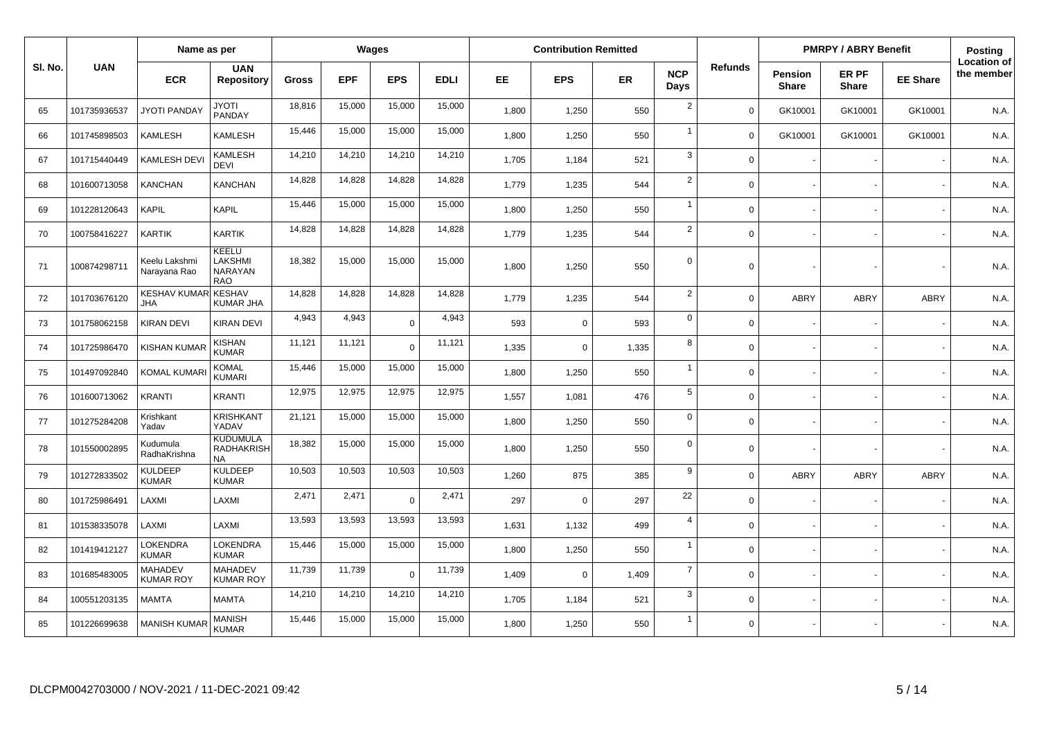|        |              | Name as per                              |                                                   |              |            | <b>Wages</b> |             |       | <b>Contribution Remitted</b> |           |                    |                |                         | <b>PMRPY / ABRY Benefit</b> |                 | Posting                          |
|--------|--------------|------------------------------------------|---------------------------------------------------|--------------|------------|--------------|-------------|-------|------------------------------|-----------|--------------------|----------------|-------------------------|-----------------------------|-----------------|----------------------------------|
| SI. No | <b>UAN</b>   | <b>ECR</b>                               | <b>UAN</b><br><b>Repository</b>                   | <b>Gross</b> | <b>EPF</b> | <b>EPS</b>   | <b>EDLI</b> | EE.   | <b>EPS</b>                   | <b>ER</b> | <b>NCP</b><br>Days | <b>Refunds</b> | Pension<br><b>Share</b> | ER PF<br><b>Share</b>       | <b>EE Share</b> | <b>Location of</b><br>the member |
| 65     | 101735936537 | <b>JYOTI PANDAY</b>                      | <b>ITOYL</b><br>PANDAY                            | 18,816       | 15,000     | 15,000       | 15,000      | 1,800 | 1,250                        | 550       | $\overline{2}$     | $\Omega$       | GK10001                 | GK10001                     | GK10001         | N.A.                             |
| 66     | 101745898503 | <b>KAMLESH</b>                           | KAMLESH                                           | 15,446       | 15,000     | 15,000       | 15,000      | 1,800 | 1,250                        | 550       | $\overline{1}$     | $\Omega$       | GK10001                 | GK10001                     | GK10001         | N.A.                             |
| 67     | 101715440449 | KAMLESH DEV                              | <b>KAMLESH</b><br><b>DEVI</b>                     | 14,210       | 14,210     | 14,210       | 14,210      | 1,705 | 1,184                        | 521       | $\mathbf{3}$       | $\Omega$       |                         |                             |                 | N.A.                             |
| 68     | 101600713058 | <b>KANCHAN</b>                           | <b>KANCHAN</b>                                    | 14,828       | 14,828     | 14,828       | 14,828      | 1,779 | 1,235                        | 544       | $\overline{2}$     | $\mathbf 0$    |                         |                             |                 | N.A.                             |
| 69     | 101228120643 | <b>KAPIL</b>                             | <b>KAPIL</b>                                      | 15,446       | 15,000     | 15,000       | 15,000      | 1.800 | 1,250                        | 550       | $\overline{1}$     | $\Omega$       |                         |                             |                 | N.A.                             |
| 70     | 100758416227 | <b>KARTIK</b>                            | <b>KARTIK</b>                                     | 14,828       | 14,828     | 14,828       | 14,828      | 1,779 | 1,235                        | 544       | $\overline{2}$     | $\Omega$       |                         |                             |                 | N.A.                             |
| 71     | 100874298711 | Keelu Lakshmi<br>Narayana Rao            | KEELU<br>LAKSHMI<br>NARAYAN<br><b>RAO</b>         | 18,382       | 15,000     | 15,000       | 15,000      | 1,800 | 1,250                        | 550       | $\mathbf 0$        | $\Omega$       |                         |                             |                 | N.A.                             |
| 72     | 101703676120 | <b>KESHAV KUMAR KESHAV</b><br><b>JHA</b> | KUMAR JHA                                         | 14,828       | 14,828     | 14,828       | 14,828      | 1.779 | 1,235                        | 544       | $\overline{2}$     | $\Omega$       | ABRY                    | <b>ABRY</b>                 | ABRY            | N.A.                             |
| 73     | 101758062158 | KIRAN DEVI                               | <b>KIRAN DEVI</b>                                 | 4,943        | 4,943      | $\Omega$     | 4,943       | 593   | $\mathbf 0$                  | 593       | $\mathbf 0$        | $\Omega$       |                         |                             |                 | N.A.                             |
| 74     | 101725986470 | <b>KISHAN KUMAR</b>                      | KISHAN<br><b>KUMAR</b>                            | 11,121       | 11,121     | $\Omega$     | 11,121      | 1.335 | $\mathbf 0$                  | 1,335     | 8                  | $\Omega$       |                         |                             |                 | N.A.                             |
| 75     | 101497092840 | <b>KOMAL KUMAF</b>                       | KOMAL<br><b>KUMARI</b>                            | 15,446       | 15,000     | 15,000       | 15,000      | 1.800 | 1,250                        | 550       | $\overline{1}$     | $\Omega$       |                         |                             |                 | N.A.                             |
| 76     | 101600713062 | <b>KRANTI</b>                            | <b>KRANTI</b>                                     | 12,975       | 12,975     | 12,975       | 12,975      | 1,557 | 1,081                        | 476       | 5                  | $\mathbf 0$    |                         |                             |                 | N.A.                             |
| 77     | 101275284208 | Krishkant<br>Yadav                       | <b>KRISHKANT</b><br>YADAV                         | 21,121       | 15,000     | 15,000       | 15,000      | 1,800 | 1,250                        | 550       | $\mathbf 0$        | $\Omega$       |                         |                             |                 | N.A.                             |
| 78     | 101550002895 | Kudumula<br>RadhaKrishna                 | <b>KUDUMULA</b><br><b>RADHAKRISH</b><br><b>NA</b> | 18,382       | 15,000     | 15,000       | 15,000      | 1,800 | 1,250                        | 550       | $\mathbf 0$        | $\Omega$       |                         |                             |                 | N.A.                             |
| 79     | 101272833502 | <b>KULDEEP</b><br><b>KUMAR</b>           | <b>KULDEEP</b><br><b>KUMAR</b>                    | 10,503       | 10,503     | 10,503       | 10,503      | 1,260 | 875                          | 385       | 9                  | $\Omega$       | ABRY                    | <b>ABRY</b>                 | <b>ABRY</b>     | N.A.                             |
| 80     | 101725986491 | LAXMI                                    | LAXMI                                             | 2,471        | 2,471      | $\Omega$     | 2,471       | 297   | $\mathbf 0$                  | 297       | 22                 | $\Omega$       |                         |                             |                 | N.A.                             |
| 81     | 101538335078 | LAXMI                                    | LAXMI                                             | 13,593       | 13,593     | 13,593       | 13,593      | 1.631 | 1,132                        | 499       | $\overline{4}$     | $\Omega$       |                         |                             |                 | N.A.                             |
| 82     | 101419412127 | LOKENDRA<br><b>KUMAR</b>                 | <b>LOKENDRA</b><br><b>KUMAR</b>                   | 15,446       | 15,000     | 15,000       | 15,000      | 1,800 | 1,250                        | 550       | $\overline{1}$     | $\mathbf 0$    |                         |                             |                 | N.A.                             |
| 83     | 101685483005 | <b>MAHADEV</b><br><b>KUMAR ROY</b>       | <b>MAHADEV</b><br><b>KUMAR ROY</b>                | 11,739       | 11,739     | $\Omega$     | 11,739      | 1,409 | $\mathbf 0$                  | 1,409     | $\overline{7}$     | $\Omega$       |                         |                             |                 | N.A.                             |
| 84     | 100551203135 | <b>MAMTA</b>                             | <b>MAMTA</b>                                      | 14,210       | 14,210     | 14,210       | 14,210      | 1.705 | 1,184                        | 521       | $\mathbf{3}$       | $\Omega$       |                         |                             |                 | N.A.                             |
| 85     | 101226699638 | <b>MANISH KUMAR</b>                      | <b>MANISH</b><br><b>KUMAR</b>                     | 15,446       | 15,000     | 15,000       | 15,000      | 1,800 | 1,250                        | 550       | $\overline{1}$     | $\mathbf 0$    |                         |                             |                 | N.A.                             |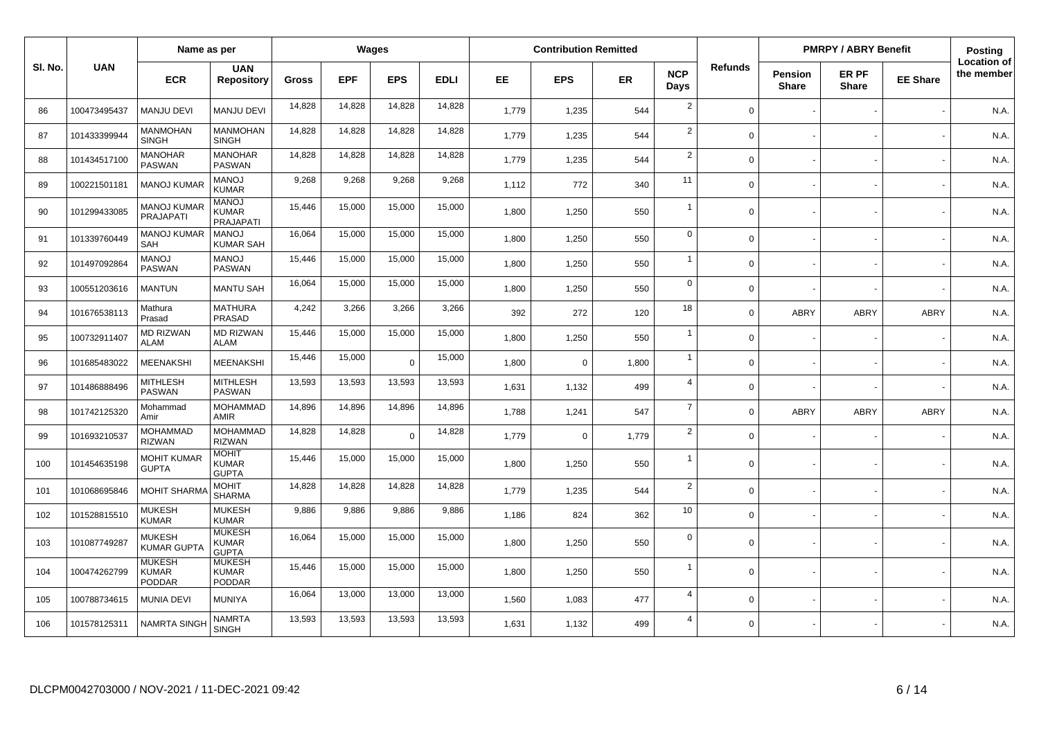|        |              | Name as per                                    |                                               |              |            | <b>Wages</b> |             |       | <b>Contribution Remitted</b> |           |                    |                |                         | <b>PMRPY / ABRY Benefit</b> |                 | Posting                          |
|--------|--------------|------------------------------------------------|-----------------------------------------------|--------------|------------|--------------|-------------|-------|------------------------------|-----------|--------------------|----------------|-------------------------|-----------------------------|-----------------|----------------------------------|
| SI. No | <b>UAN</b>   | <b>ECR</b>                                     | <b>UAN</b><br><b>Repository</b>               | <b>Gross</b> | <b>EPF</b> | <b>EPS</b>   | <b>EDLI</b> | EE.   | <b>EPS</b>                   | <b>ER</b> | <b>NCP</b><br>Days | <b>Refunds</b> | Pension<br><b>Share</b> | ER PF<br><b>Share</b>       | <b>EE Share</b> | <b>Location of</b><br>the member |
| 86     | 100473495437 | <b>MANJU DEVI</b>                              | MANJU DEVI                                    | 14,828       | 14,828     | 14,828       | 14,828      | 1,779 | 1,235                        | 544       | $\overline{2}$     | $\Omega$       |                         |                             |                 | N.A.                             |
| 87     | 101433399944 | <b>MANMOHAN</b><br><b>SINGH</b>                | <b>MANMOHAN</b><br><b>SINGH</b>               | 14,828       | 14,828     | 14,828       | 14,828      | 1,779 | 1,235                        | 544       | $\overline{2}$     | $\Omega$       |                         |                             |                 | N.A.                             |
| 88     | 101434517100 | <b>MANOHAR</b><br><b>PASWAN</b>                | <b>MANOHAR</b><br><b>PASWAN</b>               | 14,828       | 14,828     | 14,828       | 14,828      | 1.779 | 1,235                        | 544       | $\overline{2}$     | $\Omega$       |                         |                             |                 | N.A.                             |
| 89     | 100221501181 | <b>MANOJ KUMAF</b>                             | <b>MANOJ</b><br><b>KUMAR</b>                  | 9,268        | 9,268      | 9,268        | 9,268       | 1,112 | 772                          | 340       | 11                 | $\mathbf 0$    |                         |                             |                 | N.A.                             |
| 90     | 101299433085 | <b>MANOJ KUMAR</b><br><b>PRAJAPATI</b>         | <b>MANOJ</b><br><b>KUMAR</b><br>PRAJAPATI     | 15,446       | 15,000     | 15,000       | 15,000      | 1,800 | 1,250                        | 550       | $\overline{1}$     | $\Omega$       |                         |                             |                 | N.A.                             |
| 91     | 101339760449 | <b>MANOJ KUMAR</b><br><b>SAH</b>               | <b>MANOJ</b><br>KUMAR SAH                     | 16,064       | 15,000     | 15,000       | 15,000      | 1,800 | 1,250                        | 550       | $\mathbf 0$        | $\Omega$       |                         |                             |                 | N.A.                             |
| 92     | 101497092864 | <b>MANOJ</b><br><b>PASWAN</b>                  | <b>MANOJ</b><br><b>PASWAN</b>                 | 15,446       | 15,000     | 15,000       | 15,000      | 1.800 | 1,250                        | 550       | $\overline{1}$     | $\Omega$       |                         |                             |                 | N.A.                             |
| 93     | 100551203616 | <b>MANTUN</b>                                  | <b>MANTU SAH</b>                              | 16,064       | 15,000     | 15,000       | 15,000      | 1,800 | 1,250                        | 550       | $\mathbf 0$        | $\Omega$       |                         |                             |                 | N.A.                             |
| 94     | 101676538113 | Mathura<br>Prasad                              | <b>MATHURA</b><br><b>PRASAD</b>               | 4,242        | 3,266      | 3,266        | 3,266       | 392   | 272                          | 120       | 18                 | $\Omega$       | ABRY                    | <b>ABRY</b>                 | ABRY            | N.A.                             |
| 95     | 100732911407 | <b>MD RIZWAN</b><br><b>ALAM</b>                | <b>MD RIZWAN</b><br><b>ALAM</b>               | 15,446       | 15,000     | 15,000       | 15,000      | 1.800 | 1,250                        | 550       | $\overline{1}$     | $\Omega$       |                         |                             |                 | N.A.                             |
| 96     | 101685483022 | <b>MEENAKSHI</b>                               | MEENAKSHI                                     | 15,446       | 15,000     | $\Omega$     | 15,000      | 1,800 | $\Omega$                     | 1,800     | $\overline{1}$     | $\Omega$       |                         |                             |                 | N.A.                             |
| 97     | 101486888496 | <b>MITHLESH</b><br><b>PASWAN</b>               | <b>MITHLESH</b><br><b>PASWAN</b>              | 13,593       | 13,593     | 13,593       | 13,593      | 1,631 | 1,132                        | 499       | $\overline{4}$     | $\Omega$       |                         |                             |                 | N.A.                             |
| 98     | 101742125320 | Mohammad<br>Amir                               | <b>MOHAMMAD</b><br><b>AMIR</b>                | 14,896       | 14,896     | 14,896       | 14,896      | 1.788 | 1,241                        | 547       | $\overline{7}$     | $\Omega$       | ABRY                    | <b>ABRY</b>                 | <b>ABRY</b>     | N.A.                             |
| 99     | 101693210537 | <b>MOHAMMAD</b><br><b>RIZWAN</b>               | <b>MOHAMMAD</b><br><b>RIZWAN</b>              | 14,828       | 14,828     | $\Omega$     | 14,828      | 1,779 | $\mathbf 0$                  | 1,779     | $\overline{2}$     | $\mathbf 0$    |                         |                             |                 | N.A.                             |
| 100    | 101454635198 | <b>MOHIT KUMAR</b><br><b>GUPTA</b>             | <b>MOHIT</b><br><b>KUMAR</b><br><b>GUPTA</b>  | 15,446       | 15,000     | 15,000       | 15,000      | 1.800 | 1,250                        | 550       | $\overline{1}$     | $\Omega$       |                         |                             |                 | N.A.                             |
| 101    | 101068695846 | <b>MOHIT SHARM</b>                             | <b>MOHIT</b><br><b>SHARMA</b>                 | 14,828       | 14,828     | 14,828       | 14,828      | 1.779 | 1,235                        | 544       | $\overline{2}$     | $\Omega$       |                         |                             |                 | N.A.                             |
| 102    | 101528815510 | <b>MUKESH</b><br><b>KUMAR</b>                  | <b>MUKESH</b><br><b>KUMAR</b>                 | 9,886        | 9,886      | 9,886        | 9,886       | 1,186 | 824                          | 362       | 10                 | $\Omega$       |                         |                             |                 | N.A.                             |
| 103    | 101087749287 | <b>MUKESH</b><br><b>KUMAR GUPTA</b>            | <b>MUKESH</b><br><b>KUMAR</b><br><b>GUPTA</b> | 16,064       | 15,000     | 15,000       | 15,000      | 1,800 | 1,250                        | 550       | $\mathbf 0$        | $\Omega$       |                         |                             |                 | N.A.                             |
| 104    | 100474262799 | <b>MUKESH</b><br><b>KUMAR</b><br><b>PODDAR</b> | <b>MUKESH</b><br><b>KUMAR</b><br>PODDAR       | 15,446       | 15,000     | 15,000       | 15,000      | 1,800 | 1,250                        | 550       | $\overline{1}$     | $\Omega$       |                         |                             |                 | N.A.                             |
| 105    | 100788734615 | <b>MUNIA DEVI</b>                              | <b>MUNIYA</b>                                 | 16,064       | 13,000     | 13,000       | 13,000      | 1,560 | 1,083                        | 477       | $\overline{4}$     | $\Omega$       |                         |                             |                 | N.A.                             |
| 106    | 101578125311 | <b>NAMRTA SINGH</b>                            | <b>NAMRTA</b><br><b>SINGH</b>                 | 13,593       | 13,593     | 13,593       | 13,593      | 1,631 | 1,132                        | 499       | $\overline{4}$     | $\mathbf 0$    |                         |                             |                 | N.A.                             |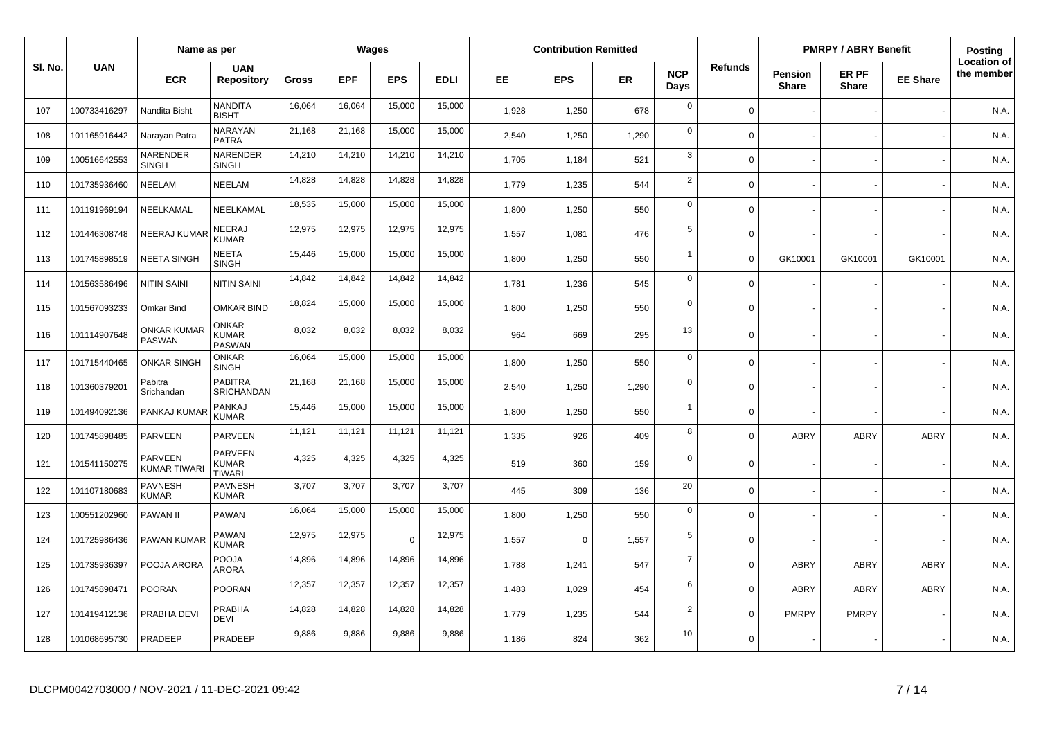|         |              | Name as per                  |                                                 |              |            | Wages      |             |       | <b>Contribution Remitted</b> |       |                    |                |                                | <b>PMRPY / ABRY Benefit</b> |                 | Posting                          |
|---------|--------------|------------------------------|-------------------------------------------------|--------------|------------|------------|-------------|-------|------------------------------|-------|--------------------|----------------|--------------------------------|-----------------------------|-----------------|----------------------------------|
| SI. No. | <b>UAN</b>   | <b>ECR</b>                   | <b>UAN</b><br><b>Repository</b>                 | <b>Gross</b> | <b>EPF</b> | <b>EPS</b> | <b>EDLI</b> | EE.   | <b>EPS</b>                   | ER    | <b>NCP</b><br>Days | <b>Refunds</b> | <b>Pension</b><br><b>Share</b> | ER PF<br><b>Share</b>       | <b>EE Share</b> | <b>Location of</b><br>the member |
| 107     | 100733416297 | Nandita Bisht                | <b>NANDITA</b><br><b>BISHT</b>                  | 16,064       | 16,064     | 15,000     | 15,000      | 1,928 | 1,250                        | 678   | $\mathbf 0$        | $\Omega$       |                                |                             |                 | N.A.                             |
| 108     | 101165916442 | Narayan Patra                | <b>NARAYAN</b><br><b>PATRA</b>                  | 21.168       | 21,168     | 15,000     | 15,000      | 2,540 | 1,250                        | 1,290 | $\mathbf 0$        | $\Omega$       |                                |                             |                 | N.A.                             |
| 109     | 100516642553 | NARENDER<br><b>SINGH</b>     | NARENDER<br><b>SINGH</b>                        | 14,210       | 14,210     | 14,210     | 14,210      | 1,705 | 1,184                        | 521   | $\mathbf{3}$       | $\Omega$       |                                |                             |                 | N.A.                             |
| 110     | 101735936460 | NEELAM                       | <b>NEELAM</b>                                   | 14,828       | 14,828     | 14,828     | 14,828      | 1,779 | 1,235                        | 544   | $\overline{2}$     | $\Omega$       |                                |                             |                 | N.A.                             |
| 111     | 101191969194 | NEELKAMAL                    | NEELKAMAL                                       | 18,535       | 15,000     | 15,000     | 15,000      | 1,800 | 1,250                        | 550   | $\mathbf 0$        | $\Omega$       |                                |                             |                 | N.A.                             |
| 112     | 101446308748 | <b>NEERAJ KUMAR</b>          | <b>NEERAJ</b><br><b>KUMAR</b>                   | 12,975       | 12,975     | 12,975     | 12,975      | 1,557 | 1,081                        | 476   | $\sqrt{5}$         | $\Omega$       |                                |                             |                 | N.A.                             |
| 113     | 101745898519 | NEETA SINGH                  | <b>NEETA</b><br><b>SINGH</b>                    | 15,446       | 15,000     | 15,000     | 15,000      | 1,800 | 1,250                        | 550   | $\overline{1}$     | $\Omega$       | GK10001                        | GK10001                     | GK10001         | N.A.                             |
| 114     | 101563586496 | <b>NITIN SAINI</b>           | <b>NITIN SAINI</b>                              | 14,842       | 14,842     | 14,842     | 14,842      | 1,781 | 1,236                        | 545   | $\mathbf 0$        | $\Omega$       |                                |                             |                 | N.A.                             |
| 115     | 101567093233 | Omkar Bind                   | <b>OMKAR BIND</b>                               | 18,824       | 15,000     | 15,000     | 15,000      | 1,800 | 1,250                        | 550   | $\mathbf 0$        | $\Omega$       |                                |                             |                 | N.A.                             |
| 116     | 101114907648 | <b>ONKAR KUMAR</b><br>PASWAN | ONKAR<br>KUMAR<br><b>PASWAN</b>                 | 8,032        | 8,032      | 8,032      | 8,032       | 964   | 669                          | 295   | 13                 | $\Omega$       |                                |                             |                 | N.A.                             |
| 117     | 101715440465 | <b>ONKAR SINGH</b>           | <b>ONKAR</b><br><b>SINGH</b>                    | 16,064       | 15,000     | 15,000     | 15,000      | 1,800 | 1,250                        | 550   | $\mathbf 0$        | $\Omega$       |                                |                             |                 | N.A.                             |
| 118     | 101360379201 | Pabitra<br>Srichandan        | <b>PABITRA</b><br>SRICHANDAN                    | 21,168       | 21,168     | 15,000     | 15,000      | 2.540 | 1,250                        | 1,290 | $\mathbf 0$        | $\Omega$       |                                |                             |                 | N.A.                             |
| 119     | 101494092136 | PANKAJ KUMAR                 | PANKAJ<br><b>KUMAR</b>                          | 15,446       | 15,000     | 15,000     | 15,000      | 1,800 | 1,250                        | 550   | $\overline{1}$     | $\Omega$       |                                |                             |                 | N.A.                             |
| 120     | 101745898485 | PARVEEN                      | <b>PARVEEN</b>                                  | 11,121       | 11,121     | 11,121     | 11,121      | 1,335 | 926                          | 409   | 8                  | $\Omega$       | ABRY                           | <b>ABRY</b>                 | <b>ABRY</b>     | N.A.                             |
| 121     | 101541150275 | PARVEEN<br>KUMAR TIWAR       | <b>PARVEEN</b><br><b>KUMAR</b><br><b>TIWARI</b> | 4,325        | 4,325      | 4,325      | 4,325       | 519   | 360                          | 159   | $\mathbf 0$        | $\Omega$       |                                |                             |                 | N.A.                             |
| 122     | 101107180683 | <b>PAVNESH</b><br>KUMAR      | <b>PAVNESH</b><br><b>KUMAR</b>                  | 3,707        | 3,707      | 3,707      | 3,707       | 445   | 309                          | 136   | 20                 | $\mathbf 0$    |                                |                             |                 | N.A.                             |
| 123     | 100551202960 | PAWAN II                     | <b>PAWAN</b>                                    | 16,064       | 15,000     | 15,000     | 15,000      | 1.800 | 1,250                        | 550   | $\mathbf 0$        | $\Omega$       |                                |                             |                 | N.A.                             |
| 124     | 101725986436 | PAWAN KUMA                   | <b>PAWAN</b><br><b>KUMAR</b>                    | 12,975       | 12,975     | $\Omega$   | 12,975      | 1,557 | $\mathbf 0$                  | 1,557 | 5                  | $\mathbf 0$    |                                |                             |                 | N.A.                             |
| 125     | 101735936397 | POOJA ARORA                  | <b>POOJA</b><br><b>ARORA</b>                    | 14,896       | 14,896     | 14,896     | 14,896      | 1.788 | 1,241                        | 547   | $\overline{7}$     | $\Omega$       | ABRY                           | <b>ABRY</b>                 | <b>ABRY</b>     | N.A.                             |
| 126     | 101745898471 | <b>POORAN</b>                | POORAN                                          | 12,357       | 12,357     | 12,357     | 12,357      | 1,483 | 1,029                        | 454   | 6                  | $\mathbf 0$    | <b>ABRY</b>                    | <b>ABRY</b>                 | ABRY            | N.A.                             |
| 127     | 101419412136 | PRABHA DEVI                  | <b>PRABHA</b><br><b>DEVI</b>                    | 14,828       | 14,828     | 14,828     | 14,828      | 1,779 | 1,235                        | 544   | $\overline{2}$     | $\mathbf 0$    | <b>PMRPY</b>                   | <b>PMRPY</b>                |                 | N.A.                             |
| 128     | 101068695730 | PRADEEP                      | PRADEEP                                         | 9,886        | 9,886      | 9,886      | 9,886       | 1.186 | 824                          | 362   | 10                 | $\Omega$       |                                |                             |                 | N.A.                             |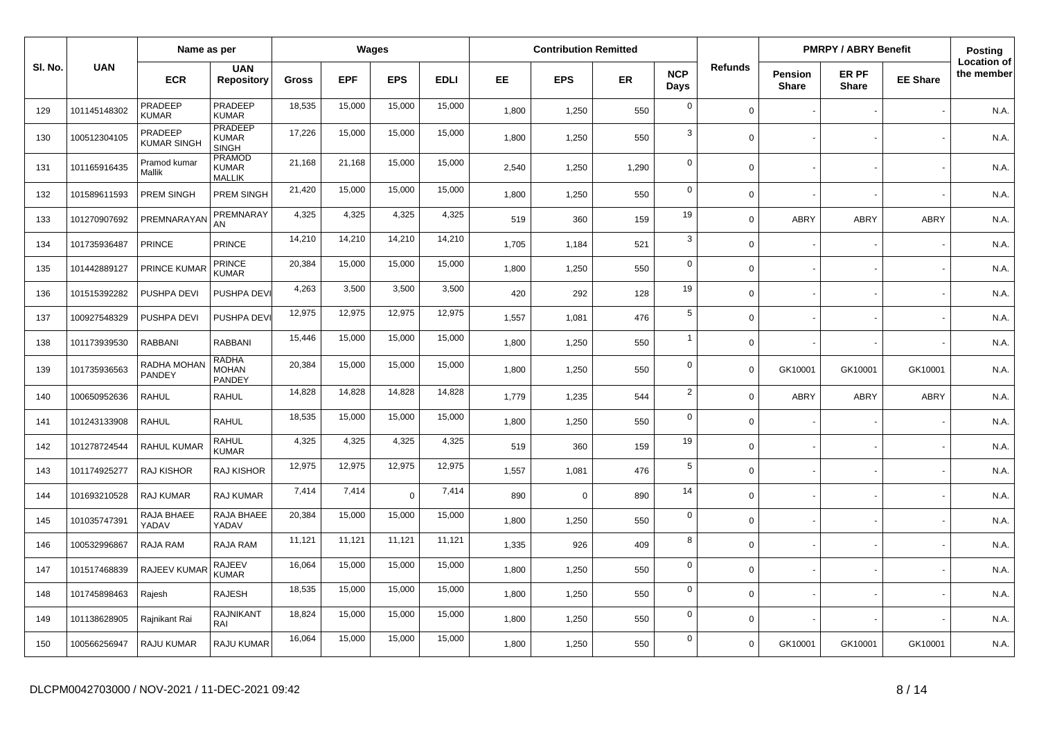|         |              | Name as per                   |                                                |              |            | Wages      |             |       | <b>Contribution Remitted</b> |       |                    |                |                                | <b>PMRPY / ABRY Benefit</b> |                 | <b>Posting</b>                   |
|---------|--------------|-------------------------------|------------------------------------------------|--------------|------------|------------|-------------|-------|------------------------------|-------|--------------------|----------------|--------------------------------|-----------------------------|-----------------|----------------------------------|
| SI. No. | <b>UAN</b>   | <b>ECR</b>                    | <b>UAN</b><br><b>Repository</b>                | <b>Gross</b> | <b>EPF</b> | <b>EPS</b> | <b>EDLI</b> | EE.   | <b>EPS</b>                   | ER    | <b>NCP</b><br>Days | <b>Refunds</b> | <b>Pension</b><br><b>Share</b> | ER PF<br><b>Share</b>       | <b>EE Share</b> | <b>Location of</b><br>the member |
| 129     | 101145148302 | PRADEEP<br>KUMAR              | PRADEEP<br>KUMAR                               | 18,535       | 15,000     | 15,000     | 15,000      | 1,800 | 1,250                        | 550   | $\mathbf 0$        | $\mathbf 0$    |                                |                             |                 | N.A.                             |
| 130     | 100512304105 | PRADEEP<br><b>KUMAR SINGH</b> | <b>PRADEEP</b><br><b>KUMAR</b><br><b>SINGH</b> | 17,226       | 15,000     | 15,000     | 15,000      | 1,800 | 1,250                        | 550   | 3                  | $\Omega$       |                                |                             |                 | N.A.                             |
| 131     | 101165916435 | Pramod kumar<br>Mallik        | <b>PRAMOD</b><br>KUMAR<br><b>MALLIK</b>        | 21,168       | 21,168     | 15,000     | 15,000      | 2.540 | 1,250                        | 1,290 | $\mathbf 0$        | $\Omega$       |                                |                             |                 | N.A.                             |
| 132     | 101589611593 | PREM SINGH                    | PREM SINGH                                     | 21,420       | 15,000     | 15,000     | 15,000      | 1,800 | 1,250                        | 550   | $\mathbf 0$        | $\Omega$       |                                |                             |                 | N.A.                             |
| 133     | 101270907692 | PREMNARAYAN                   | PREMNARAY<br>AN                                | 4,325        | 4,325      | 4,325      | 4,325       | 519   | 360                          | 159   | 19                 | $\mathbf 0$    | ABRY                           | <b>ABRY</b>                 | <b>ABRY</b>     | N.A.                             |
| 134     | 101735936487 | <b>PRINCE</b>                 | PRINCE                                         | 14,210       | 14,210     | 14,210     | 14,210      | 1,705 | 1,184                        | 521   | 3                  | $\Omega$       |                                |                             |                 | N.A.                             |
| 135     | 101442889127 | <b>PRINCE KUMAF</b>           | PRINCE<br><b>KUMAR</b>                         | 20,384       | 15,000     | 15,000     | 15,000      | 1,800 | 1,250                        | 550   | $\mathbf 0$        | $\mathbf 0$    |                                |                             |                 | N.A.                             |
| 136     | 101515392282 | PUSHPA DEVI                   | PUSHPA DEVI                                    | 4,263        | 3,500      | 3,500      | 3,500       | 420   | 292                          | 128   | 19                 | $\mathbf 0$    |                                |                             |                 | N.A.                             |
| 137     | 100927548329 | PUSHPA DEVI                   | PUSHPA DEVI                                    | 12,975       | 12,975     | 12,975     | 12,975      | 1,557 | 1,081                        | 476   | $5\phantom{.0}$    | $\mathbf 0$    |                                |                             |                 | N.A.                             |
| 138     | 101173939530 | <b>RABBANI</b>                | <b>RABBANI</b>                                 | 15,446       | 15,000     | 15,000     | 15,000      | 1,800 | 1,250                        | 550   | $\overline{1}$     | $\mathbf 0$    |                                |                             |                 | N.A.                             |
| 139     | 101735936563 | RADHA MOHAN<br>PANDEY         | <b>RADHA</b><br><b>MOHAN</b><br>PANDEY         | 20,384       | 15,000     | 15,000     | 15,000      | 1,800 | 1,250                        | 550   | $\mathbf 0$        | $\Omega$       | GK10001                        | GK10001                     | GK10001         | N.A.                             |
| 140     | 100650952636 | <b>RAHUL</b>                  | <b>RAHUL</b>                                   | 14,828       | 14,828     | 14,828     | 14,828      | 1,779 | 1,235                        | 544   | $\overline{2}$     | $\Omega$       | ABRY                           | <b>ABRY</b>                 | <b>ABRY</b>     | N.A.                             |
| 141     | 101243133908 | <b>RAHUL</b>                  | <b>RAHUL</b>                                   | 18,535       | 15,000     | 15,000     | 15,000      | 1,800 | 1,250                        | 550   | $\mathbf 0$        | $\Omega$       |                                |                             |                 | N.A.                             |
| 142     | 101278724544 | <b>RAHUL KUMAR</b>            | RAHUL<br><b>KUMAR</b>                          | 4,325        | 4,325      | 4,325      | 4,325       | 519   | 360                          | 159   | 19                 | $\mathbf 0$    |                                |                             |                 | N.A.                             |
| 143     | 101174925277 | RAJ KISHOR                    | RAJ KISHOR                                     | 12,975       | 12,975     | 12,975     | 12,975      | 1,557 | 1,081                        | 476   | 5                  | $\mathbf 0$    |                                |                             |                 | N.A.                             |
| 144     | 101693210528 | RAJ KUMAR                     | RAJ KUMAR                                      | 7,414        | 7,414      | $\Omega$   | 7,414       | 890   | $\mathbf 0$                  | 890   | 14                 | $\Omega$       |                                |                             |                 | N.A.                             |
| 145     | 101035747391 | RAJA BHAEE<br>YADAV           | RAJA BHAEE<br>YADAV                            | 20,384       | 15,000     | 15,000     | 15,000      | 1,800 | 1,250                        | 550   | $\mathbf 0$        | $\Omega$       |                                |                             |                 | N.A.                             |
| 146     | 100532996867 | RAJA RAM                      | RAJA RAM                                       | 11,121       | 11,121     | 11,121     | 11,121      | 1,335 | 926                          | 409   | 8                  | $\mathbf 0$    |                                |                             |                 | N.A.                             |
| 147     | 101517468839 | RAJEEV KUMAF                  | RAJEEV<br><b>KUMAR</b>                         | 16,064       | 15,000     | 15,000     | 15,000      | 1,800 | 1,250                        | 550   | $\mathbf 0$        | $\mathbf 0$    |                                |                             |                 | N.A.                             |
| 148     | 101745898463 | Rajesh                        | <b>RAJESH</b>                                  | 18,535       | 15,000     | 15,000     | 15,000      | 1,800 | 1,250                        | 550   | $\mathbf 0$        | $\mathbf 0$    |                                |                             |                 | N.A.                             |
| 149     | 101138628905 | Rajnikant Rai                 | <b>RAJNIKANT</b><br>RAI                        | 18,824       | 15,000     | 15,000     | 15,000      | 1,800 | 1,250                        | 550   | $\mathbf 0$        | $\Omega$       |                                |                             |                 | N.A.                             |
| 150     | 100566256947 | RAJU KUMAR                    | RAJU KUMAR                                     | 16,064       | 15,000     | 15,000     | 15,000      | 1,800 | 1,250                        | 550   | $\overline{0}$     | $\Omega$       | GK10001                        | GK10001                     | GK10001         | N.A.                             |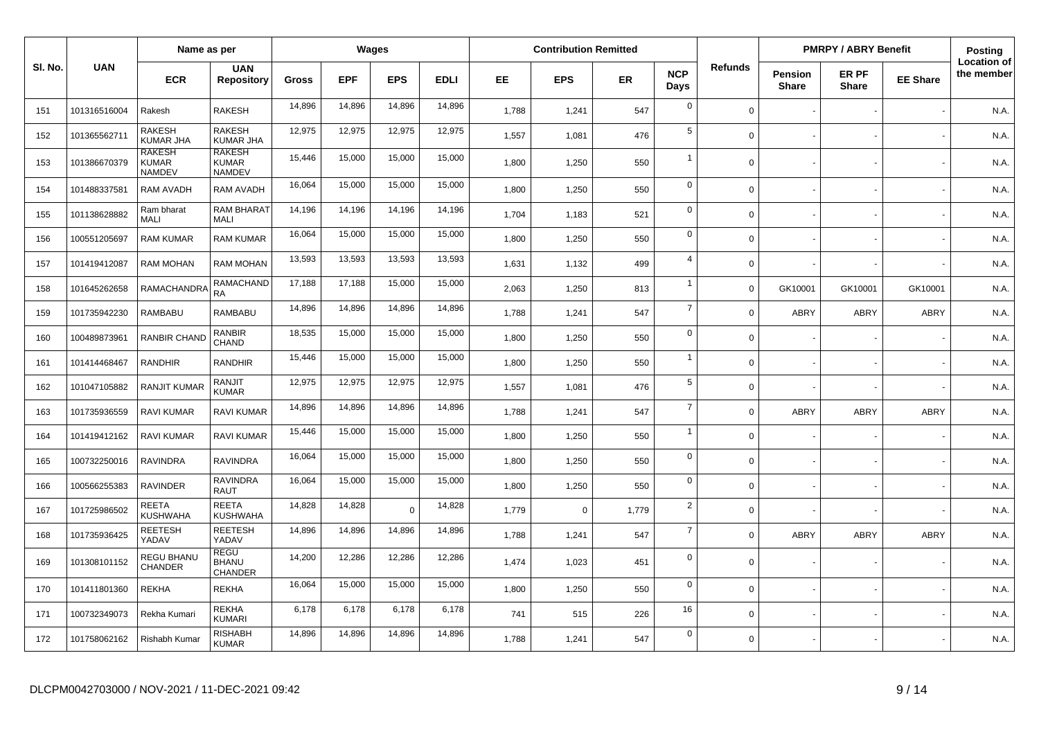|         |              | Name as per                                    |                                               |        |            | Wages      |             |       | <b>Contribution Remitted</b> |       |                    |                |                                | <b>PMRPY / ABRY Benefit</b> |                 | <b>Posting</b>                   |
|---------|--------------|------------------------------------------------|-----------------------------------------------|--------|------------|------------|-------------|-------|------------------------------|-------|--------------------|----------------|--------------------------------|-----------------------------|-----------------|----------------------------------|
| SI. No. | <b>UAN</b>   | <b>ECR</b>                                     | <b>UAN</b><br><b>Repository</b>               | Gross  | <b>EPF</b> | <b>EPS</b> | <b>EDLI</b> | EE.   | <b>EPS</b>                   | ER    | <b>NCP</b><br>Days | <b>Refunds</b> | <b>Pension</b><br><b>Share</b> | ER PF<br><b>Share</b>       | <b>EE Share</b> | <b>Location of</b><br>the member |
| 151     | 101316516004 | Rakesh                                         | <b>RAKESH</b>                                 | 14,896 | 14,896     | 14,896     | 14,896      | 1,788 | 1,241                        | 547   | $\mathbf 0$        | $\Omega$       |                                |                             |                 | N.A.                             |
| 152     | 101365562711 | <b>RAKESH</b><br>KUMAR JHA                     | <b>RAKESH</b><br><b>KUMAR JHA</b>             | 12,975 | 12,975     | 12,975     | 12,975      | 1,557 | 1,081                        | 476   | 5                  | $\mathbf 0$    |                                |                             |                 | N.A.                             |
| 153     | 101386670379 | <b>RAKESH</b><br><b>KUMAR</b><br><b>NAMDEV</b> | RAKESH<br>KUMAR<br><b>NAMDEV</b>              | 15,446 | 15,000     | 15,000     | 15,000      | 1,800 | 1,250                        | 550   | -1                 | $\Omega$       |                                |                             |                 | N.A.                             |
| 154     | 101488337581 | <b>RAM AVADH</b>                               | <b>RAM AVADH</b>                              | 16,064 | 15,000     | 15,000     | 15,000      | 1,800 | 1,250                        | 550   | $\mathbf 0$        | $\Omega$       |                                |                             |                 | N.A.                             |
| 155     | 101138628882 | Ram bharat<br>MALI                             | <b>RAM BHARAT</b><br>MALI                     | 14,196 | 14,196     | 14,196     | 14,196      | 1,704 | 1,183                        | 521   | $\mathbf 0$        | $\Omega$       |                                |                             |                 | N.A.                             |
| 156     | 100551205697 | RAM KUMAR                                      | <b>RAM KUMAR</b>                              | 16,064 | 15.000     | 15,000     | 15,000      | 1,800 | 1,250                        | 550   | $\mathbf 0$        | $\Omega$       |                                |                             |                 | N.A.                             |
| 157     | 101419412087 | <b>RAM MOHAN</b>                               | <b>RAM MOHAN</b>                              | 13,593 | 13,593     | 13,593     | 13,593      | 1,631 | 1,132                        | 499   | $\overline{4}$     | $\Omega$       |                                |                             |                 | N.A.                             |
| 158     | 101645262658 | RAMACHANDRA                                    | RAMACHAND<br><b>RA</b>                        | 17,188 | 17,188     | 15,000     | 15,000      | 2,063 | 1,250                        | 813   | $\overline{1}$     | $\Omega$       | GK10001                        | GK10001                     | GK10001         | N.A.                             |
| 159     | 101735942230 | RAMBABU                                        | RAMBABU                                       | 14,896 | 14,896     | 14,896     | 14,896      | 1,788 | 1,241                        | 547   | $\overline{7}$     | $\Omega$       | ABRY                           | <b>ABRY</b>                 | <b>ABRY</b>     | N.A.                             |
| 160     | 100489873961 | <b>RANBIR CHAN</b>                             | <b>RANBIR</b><br>CHAND                        | 18,535 | 15,000     | 15,000     | 15,000      | 1.800 | 1,250                        | 550   | $\mathbf 0$        | $\Omega$       |                                |                             |                 | N.A.                             |
| 161     | 101414468467 | <b>RANDHIR</b>                                 | <b>RANDHIR</b>                                | 15,446 | 15,000     | 15,000     | 15,000      | 1.800 | 1,250                        | 550   | $\overline{1}$     | $\Omega$       |                                |                             |                 | N.A.                             |
| 162     | 101047105882 | RANJIT KUMAF                                   | RANJIT<br><b>KUMAR</b>                        | 12,975 | 12,975     | 12,975     | 12,975      | 1,557 | 1,081                        | 476   | 5                  | $\Omega$       |                                |                             |                 | N.A.                             |
| 163     | 101735936559 | <b>RAVI KUMAR</b>                              | <b>RAVI KUMAR</b>                             | 14,896 | 14,896     | 14,896     | 14,896      | 1,788 | 1,241                        | 547   | $\overline{7}$     | $\mathbf 0$    | ABRY                           | <b>ABRY</b>                 | <b>ABRY</b>     | N.A.                             |
| 164     | 101419412162 | <b>RAVI KUMAR</b>                              | <b>RAVI KUMAR</b>                             | 15,446 | 15,000     | 15,000     | 15,000      | 1,800 | 1,250                        | 550   | $\overline{1}$     | $\Omega$       |                                |                             |                 | N.A.                             |
| 165     | 100732250016 | <b>RAVINDRA</b>                                | RAVINDRA                                      | 16,064 | 15,000     | 15,000     | 15,000      | 1,800 | 1,250                        | 550   | $\mathbf 0$        | $\mathbf 0$    |                                |                             |                 | N.A.                             |
| 166     | 100566255383 | <b>RAVINDER</b>                                | <b>RAVINDRA</b><br><b>RAUT</b>                | 16,064 | 15,000     | 15,000     | 15,000      | 1,800 | 1,250                        | 550   | $\mathbf 0$        | $\Omega$       |                                |                             |                 | N.A.                             |
| 167     | 101725986502 | REETA<br><b>KUSHWAHA</b>                       | <b>REETA</b><br><b>KUSHWAHA</b>               | 14,828 | 14,828     | $\Omega$   | 14,828      | 1,779 | $\mathbf 0$                  | 1,779 | $\overline{2}$     | $\mathbf 0$    |                                |                             |                 | N.A.                             |
| 168     | 101735936425 | REETESH<br>YADAV                               | <b>REETESH</b><br>YADAV                       | 14,896 | 14,896     | 14,896     | 14,896      | 1,788 | 1,241                        | 547   | $\overline{7}$     | $\Omega$       | ABRY                           | <b>ABRY</b>                 | <b>ABRY</b>     | N.A.                             |
| 169     | 101308101152 | <b>REGU BHANU</b><br>CHANDER                   | <b>REGU</b><br><b>BHANU</b><br><b>CHANDER</b> | 14,200 | 12,286     | 12,286     | 12,286      | 1,474 | 1,023                        | 451   | $\mathbf 0$        | $\Omega$       |                                |                             |                 | N.A.                             |
| 170     | 101411801360 | <b>REKHA</b>                                   | <b>REKHA</b>                                  | 16,064 | 15,000     | 15,000     | 15,000      | 1,800 | 1,250                        | 550   | $\mathbf 0$        | $\Omega$       |                                |                             |                 | N.A.                             |
| 171     | 100732349073 | Rekha Kumari                                   | <b>REKHA</b><br>KUMARI                        | 6,178  | 6,178      | 6,178      | 6,178       | 741   | 515                          | 226   | 16                 | $\Omega$       |                                |                             |                 | N.A.                             |
| 172     | 101758062162 | Rishabh Kumar                                  | <b>RISHABH</b><br><b>KUMAR</b>                | 14,896 | 14,896     | 14,896     | 14,896      | 1,788 | 1,241                        | 547   | $\overline{0}$     | $\Omega$       |                                |                             |                 | N.A.                             |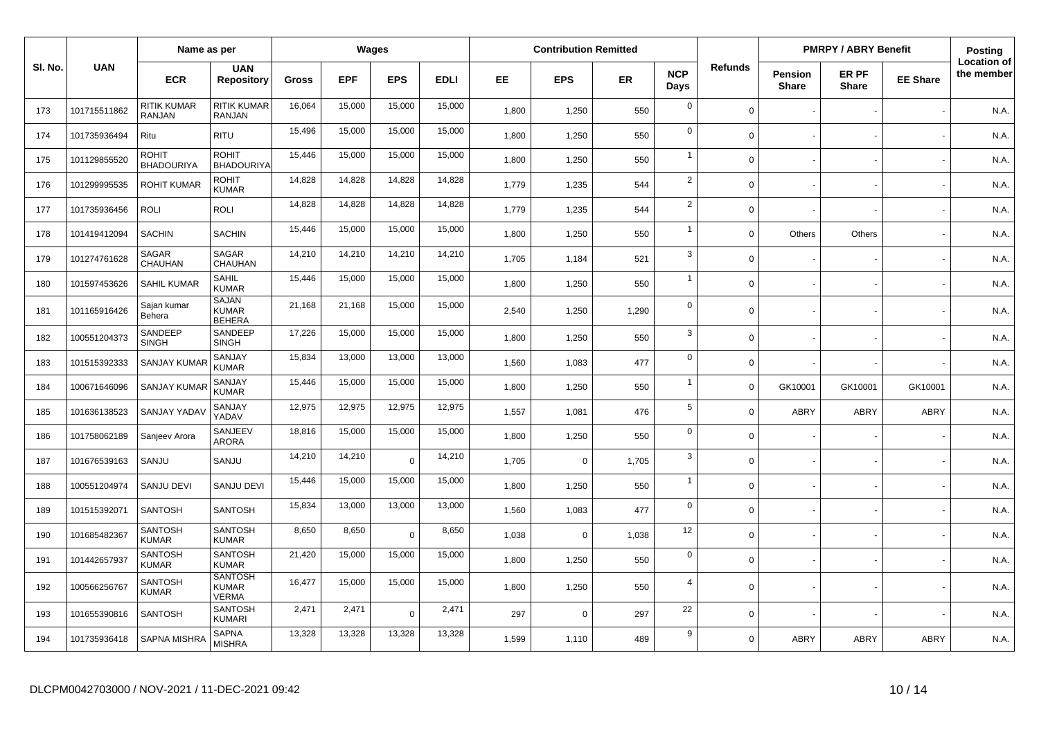|         |              | Name as per                    |                                               |        |            | Wages      |             |       | <b>Contribution Remitted</b> |       |                    |                |                                | <b>PMRPY / ABRY Benefit</b> |                 | <b>Posting</b>                   |
|---------|--------------|--------------------------------|-----------------------------------------------|--------|------------|------------|-------------|-------|------------------------------|-------|--------------------|----------------|--------------------------------|-----------------------------|-----------------|----------------------------------|
| SI. No. | <b>UAN</b>   | <b>ECR</b>                     | <b>UAN</b><br><b>Repository</b>               | Gross  | <b>EPF</b> | <b>EPS</b> | <b>EDLI</b> | EE.   | <b>EPS</b>                   | ER    | <b>NCP</b><br>Days | <b>Refunds</b> | <b>Pension</b><br><b>Share</b> | ER PF<br><b>Share</b>       | <b>EE Share</b> | <b>Location of</b><br>the member |
| 173     | 101715511862 | <b>RITIK KUMAR</b><br>RANJAN   | <b>RITIK KUMAR</b><br>RANJAN                  | 16,064 | 15,000     | 15,000     | 15,000      | 1,800 | 1,250                        | 550   | $\mathbf 0$        | $\Omega$       |                                |                             |                 | N.A.                             |
| 174     | 101735936494 | Ritu                           | <b>RITU</b>                                   | 15,496 | 15,000     | 15,000     | 15,000      | 1,800 | 1,250                        | 550   | $\mathbf 0$        | $\Omega$       |                                |                             |                 | N.A.                             |
| 175     | 101129855520 | ROHIT<br><b>BHADOURIYA</b>     | <b>ROHIT</b><br><b>BHADOURIYA</b>             | 15,446 | 15,000     | 15,000     | 15,000      | 1,800 | 1,250                        | 550   | $\overline{1}$     | $\mathbf 0$    |                                |                             |                 | N.A.                             |
| 176     | 101299995535 | ROHIT KUMAR                    | ROHIT<br>KUMAR                                | 14,828 | 14,828     | 14,828     | 14,828      | 1.779 | 1,235                        | 544   | $\overline{2}$     | $\Omega$       |                                |                             |                 | N.A.                             |
| 177     | 101735936456 | <b>ROLI</b>                    | <b>ROLI</b>                                   | 14,828 | 14,828     | 14,828     | 14,828      | 1,779 | 1,235                        | 544   | $\overline{2}$     | $\mathbf 0$    |                                |                             |                 | N.A.                             |
| 178     | 101419412094 | <b>SACHIN</b>                  | <b>SACHIN</b>                                 | 15,446 | 15,000     | 15,000     | 15,000      | 1,800 | 1,250                        | 550   | -1                 | $\Omega$       | Others                         | Others                      |                 | N.A.                             |
| 179     | 101274761628 | SAGAR<br>CHAUHAN               | SAGAR<br>CHAUHAN                              | 14,210 | 14,210     | 14,210     | 14,210      | 1,705 | 1,184                        | 521   | 3                  | $\mathbf 0$    |                                |                             |                 | N.A.                             |
| 180     | 101597453626 | <b>SAHIL KUMAR</b>             | SAHIL<br><b>KUMAR</b>                         | 15,446 | 15,000     | 15,000     | 15,000      | 1,800 | 1,250                        | 550   | $\overline{1}$     | $\Omega$       |                                |                             |                 | N.A.                             |
| 181     | 101165916426 | Sajan kumar<br>Behera          | <b>SAJAN</b><br><b>KUMAR</b><br><b>BEHERA</b> | 21,168 | 21,168     | 15,000     | 15,000      | 2,540 | 1,250                        | 1,290 | $\mathbf 0$        | $\Omega$       |                                |                             |                 | N.A.                             |
| 182     | 100551204373 | SANDEEP<br><b>SINGH</b>        | SANDEEP<br><b>SINGH</b>                       | 17,226 | 15,000     | 15,000     | 15,000      | 1,800 | 1,250                        | 550   | $\mathbf{3}$       | $\Omega$       |                                |                             |                 | N.A.                             |
| 183     | 101515392333 | SANJAY KUMAR                   | SANJAY<br><b>KUMAR</b>                        | 15,834 | 13,000     | 13,000     | 13,000      | 1.560 | 1,083                        | 477   | $\mathbf 0$        | $\Omega$       |                                |                             |                 | N.A.                             |
| 184     | 100671646096 | <b>SANJAY KUMAF</b>            | SANJAY<br><b>KUMAR</b>                        | 15,446 | 15,000     | 15,000     | 15,000      | 1,800 | 1,250                        | 550   | $\overline{1}$     | $\Omega$       | GK10001                        | GK10001                     | GK10001         | N.A.                             |
| 185     | 101636138523 | <b>SANJAY YADA</b>             | SANJAY<br>YADAV                               | 12,975 | 12,975     | 12,975     | 12,975      | 1.557 | 1,081                        | 476   | 5                  | $\Omega$       | ABRY                           | <b>ABRY</b>                 | ABRY            | N.A.                             |
| 186     | 101758062189 | Sanjeev Arora                  | SANJEEV<br><b>ARORA</b>                       | 18,816 | 15,000     | 15,000     | 15,000      | 1,800 | 1,250                        | 550   | $\mathbf 0$        | $\Omega$       |                                |                             |                 | N.A.                             |
| 187     | 101676539163 | SANJU                          | SANJU                                         | 14,210 | 14,210     | $\Omega$   | 14,210      | 1,705 | $\mathbf 0$                  | 1,705 | $\mathbf{3}$       | $\Omega$       |                                |                             |                 | N.A.                             |
| 188     | 100551204974 | SANJU DEVI                     | <b>SANJU DEVI</b>                             | 15,446 | 15,000     | 15,000     | 15,000      | 1,800 | 1,250                        | 550   | $\overline{1}$     | $\Omega$       |                                |                             |                 | N.A.                             |
| 189     | 101515392071 | <b>SANTOSH</b>                 | <b>SANTOSH</b>                                | 15,834 | 13,000     | 13,000     | 13,000      | 1,560 | 1,083                        | 477   | $\mathbf 0$        | $\Omega$       |                                |                             |                 | N.A.                             |
| 190     | 101685482367 | <b>SANTOSH</b><br><b>KUMAR</b> | <b>SANTOSH</b><br><b>KUMAR</b>                | 8,650  | 8,650      | $\Omega$   | 8,650       | 1.038 | $\mathbf 0$                  | 1,038 | 12                 | $\Omega$       |                                |                             |                 | N.A.                             |
| 191     | 101442657937 | <b>SANTOSH</b><br><b>KUMAR</b> | <b>SANTOSH</b><br><b>KUMAR</b>                | 21,420 | 15,000     | 15,000     | 15,000      | 1,800 | 1,250                        | 550   | $\mathbf 0$        | $\mathbf 0$    |                                |                             |                 | N.A.                             |
| 192     | 100566256767 | <b>SANTOSH</b><br><b>KUMAR</b> | SANTOSH<br>KUMAR<br><b>VERMA</b>              | 16,477 | 15,000     | 15,000     | 15,000      | 1,800 | 1,250                        | 550   | $\overline{4}$     | $\mathbf 0$    |                                |                             |                 | N.A.                             |
| 193     | 101655390816 | SANTOSH                        | <b>SANTOSH</b><br><b>KUMARI</b>               | 2,471  | 2,471      | $\Omega$   | 2,471       | 297   | $\mathbf 0$                  | 297   | 22                 | $\Omega$       |                                |                             |                 | N.A.                             |
| 194     | 101735936418 | <b>SAPNA MISHRA</b>            | <b>SAPNA</b><br><b>MISHRA</b>                 | 13,328 | 13,328     | 13,328     | 13,328      | 1,599 | 1,110                        | 489   | 9                  | $\Omega$       | ABRY                           | <b>ABRY</b>                 | ABRY            | N.A.                             |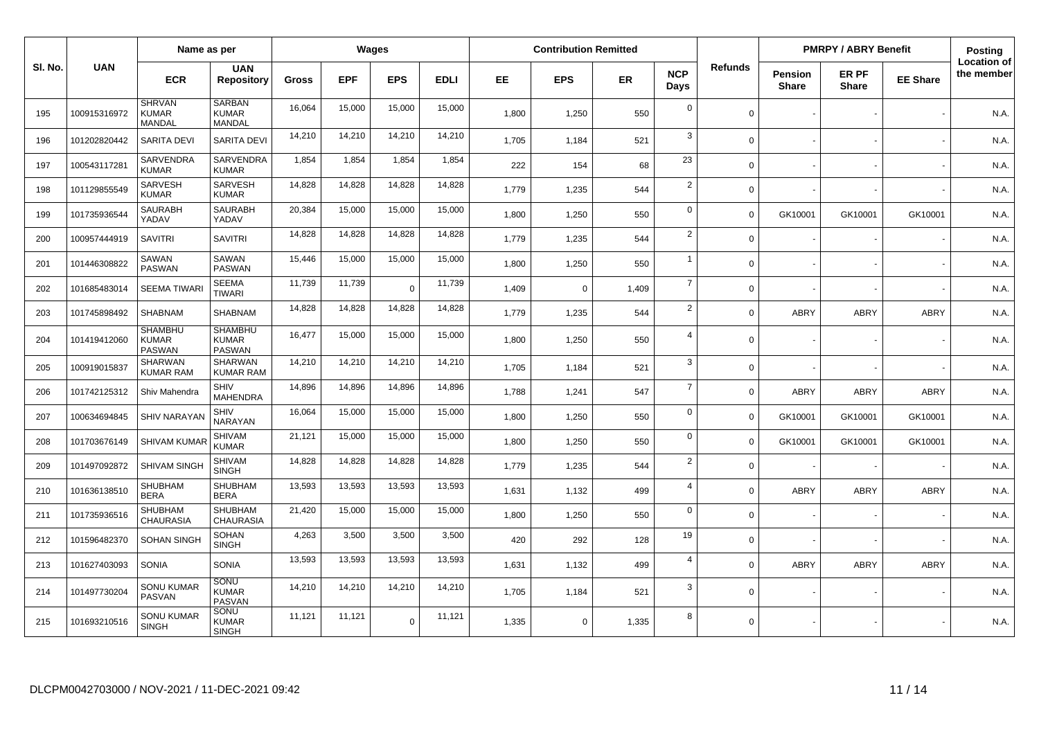|        |              | Name as per                                     |                                                 |              |            | Wages      |             |       | <b>Contribution Remitted</b> |           |                    |                |                         | <b>PMRPY / ABRY Benefit</b> |                 | Posting                          |
|--------|--------------|-------------------------------------------------|-------------------------------------------------|--------------|------------|------------|-------------|-------|------------------------------|-----------|--------------------|----------------|-------------------------|-----------------------------|-----------------|----------------------------------|
| SI. No | <b>UAN</b>   | <b>ECR</b>                                      | <b>UAN</b><br>Repository                        | <b>Gross</b> | <b>EPF</b> | <b>EPS</b> | <b>EDLI</b> | EE.   | <b>EPS</b>                   | <b>ER</b> | <b>NCP</b><br>Days | <b>Refunds</b> | Pension<br><b>Share</b> | ER PF<br><b>Share</b>       | <b>EE Share</b> | <b>Location of</b><br>the member |
| 195    | 100915316972 | <b>SHRVAN</b><br><b>KUMAR</b><br>MANDAL         | SARBAN<br><b>KUMAR</b><br><b>MANDAL</b>         | 16,064       | 15,000     | 15,000     | 15,000      | 1,800 | 1,250                        | 550       | $\mathbf 0$        | $\Omega$       |                         |                             |                 | N.A.                             |
| 196    | 101202820442 | SARITA DEVI                                     | <b>SARITA DEVI</b>                              | 14,210       | 14,210     | 14,210     | 14,210      | 1,705 | 1,184                        | 521       | 3                  | $\Omega$       |                         |                             |                 | N.A.                             |
| 197    | 100543117281 | <b>SARVENDRA</b><br><b>KUMAR</b>                | <b>SARVENDRA</b><br><b>KUMAR</b>                | 1.854        | 1.854      | 1,854      | 1,854       | 222   | 154                          | 68        | 23                 | $\Omega$       |                         |                             |                 | N.A.                             |
| 198    | 101129855549 | <b>SARVESH</b><br><b>KUMAR</b>                  | SARVESH<br><b>KUMAR</b>                         | 14,828       | 14,828     | 14,828     | 14,828      | 1,779 | 1,235                        | 544       | $\overline{2}$     | $\Omega$       |                         |                             |                 | N.A.                             |
| 199    | 101735936544 | <b>SAURABH</b><br>YADAV                         | <b>SAURABH</b><br>YADAV                         | 20,384       | 15,000     | 15,000     | 15,000      | 1,800 | 1,250                        | 550       | $\Omega$           | $\mathbf 0$    | GK10001                 | GK10001                     | GK10001         | N.A.                             |
| 200    | 100957444919 | <b>SAVITRI</b>                                  | <b>SAVITRI</b>                                  | 14,828       | 14,828     | 14,828     | 14,828      | 1,779 | 1,235                        | 544       | $\overline{2}$     | $\mathbf{0}$   |                         |                             |                 | N.A.                             |
| 201    | 101446308822 | SAWAN<br><b>PASWAN</b>                          | SAWAN<br><b>PASWAN</b>                          | 15,446       | 15,000     | 15,000     | 15,000      | 1,800 | 1,250                        | 550       | $\mathbf{1}$       | $\mathbf 0$    |                         |                             |                 | N.A.                             |
| 202    | 101685483014 | <b>SEEMA TIWAR</b>                              | <b>SEEMA</b><br><b>TIWARI</b>                   | 11,739       | 11,739     | $\Omega$   | 11,739      | 1.409 | $\Omega$                     | 1.409     | $\overline{7}$     | $\mathbf 0$    |                         |                             |                 | N.A.                             |
| 203    | 101745898492 | <b>SHABNAM</b>                                  | <b>SHABNAM</b>                                  | 14,828       | 14,828     | 14,828     | 14,828      | 1,779 | 1,235                        | 544       | $\overline{2}$     | $\Omega$       | <b>ABRY</b>             | <b>ABRY</b>                 | <b>ABRY</b>     | N.A.                             |
| 204    | 101419412060 | <b>SHAMBHU</b><br><b>KUMAR</b><br><b>PASWAN</b> | <b>SHAMBHU</b><br><b>KUMAR</b><br><b>PASWAN</b> | 16,477       | 15,000     | 15,000     | 15,000      | 1,800 | 1,250                        | 550       | $\overline{4}$     | $\mathbf 0$    |                         |                             |                 | N.A.                             |
| 205    | 100919015837 | <b>SHARWAN</b><br><b>KUMAR RAM</b>              | <b>SHARWAN</b><br><b>KUMAR RAM</b>              | 14,210       | 14,210     | 14,210     | 14,210      | 1,705 | 1,184                        | 521       | 3                  | $\Omega$       |                         |                             |                 | N.A.                             |
| 206    | 101742125312 | Shiv Mahendra                                   | <b>SHIV</b><br><b>MAHENDRA</b>                  | 14,896       | 14,896     | 14,896     | 14,896      | 1,788 | 1,241                        | 547       | $\overline{7}$     | $\mathbf 0$    | ABRY                    | ABRY                        | ABRY            | N.A.                             |
| 207    | 100634694845 | <b>SHIV NARAYAM</b>                             | SHIV<br><b>NARAYAN</b>                          | 16,064       | 15,000     | 15,000     | 15,000      | 1,800 | 1,250                        | 550       | $\mathbf 0$        | $\mathbf 0$    | GK10001                 | GK10001                     | GK10001         | N.A.                             |
| 208    | 101703676149 | <b>SHIVAM KUMA</b>                              | SHIVAM<br><b>KUMAR</b>                          | 21,121       | 15,000     | 15,000     | 15,000      | 1,800 | 1,250                        | 550       | $\mathbf 0$        | $\mathbf 0$    | GK10001                 | GK10001                     | GK10001         | N.A.                             |
| 209    | 101497092872 | SHIVAM SINGH                                    | SHIVAM<br><b>SINGH</b>                          | 14.828       | 14.828     | 14,828     | 14,828      | 1.779 | 1,235                        | 544       | $\overline{2}$     | $\Omega$       |                         |                             |                 | N.A.                             |
| 210    | 101636138510 | SHUBHAM<br><b>BERA</b>                          | SHUBHAM<br><b>BERA</b>                          | 13,593       | 13,593     | 13,593     | 13,593      | 1,631 | 1,132                        | 499       | $\overline{a}$     | $\Omega$       | <b>ABRY</b>             | <b>ABRY</b>                 | <b>ABRY</b>     | N.A.                             |
| 211    | 101735936516 | SHUBHAM<br><b>CHAURASIA</b>                     | SHUBHAM<br><b>CHAURASIA</b>                     | 21,420       | 15,000     | 15,000     | 15,000      | 1,800 | 1,250                        | 550       | $\mathbf 0$        | $\mathbf 0$    |                         |                             |                 | N.A.                             |
| 212    | 101596482370 | <b>SOHAN SINGH</b>                              | SOHAN<br><b>SINGH</b>                           | 4,263        | 3,500      | 3,500      | 3,500       | 420   | 292                          | 128       | 19                 | $\mathbf 0$    |                         |                             |                 | N.A.                             |
| 213    | 101627403093 | <b>SONIA</b>                                    | <b>SONIA</b>                                    | 13,593       | 13,593     | 13,593     | 13,593      | 1,631 | 1,132                        | 499       | $\overline{4}$     | $\Omega$       | ABRY                    | <b>ABRY</b>                 | <b>ABRY</b>     | N.A.                             |
| 214    | 101497730204 | <b>SONU KUMAR</b><br>PASVAN                     | SONU<br><b>KUMAR</b><br><b>PASVAN</b>           | 14,210       | 14,210     | 14,210     | 14,210      | 1,705 | 1,184                        | 521       | 3                  | $\mathbf 0$    |                         |                             |                 | N.A.                             |
| 215    | 101693210516 | SONU KUMAR<br><b>SINGH</b>                      | SONU<br><b>KUMAR</b><br><b>SINGH</b>            | 11,121       | 11,121     | $\Omega$   | 11,121      | 1,335 | $\mathbf 0$                  | 1,335     | 8                  | $\mathbf 0$    |                         |                             |                 | N.A.                             |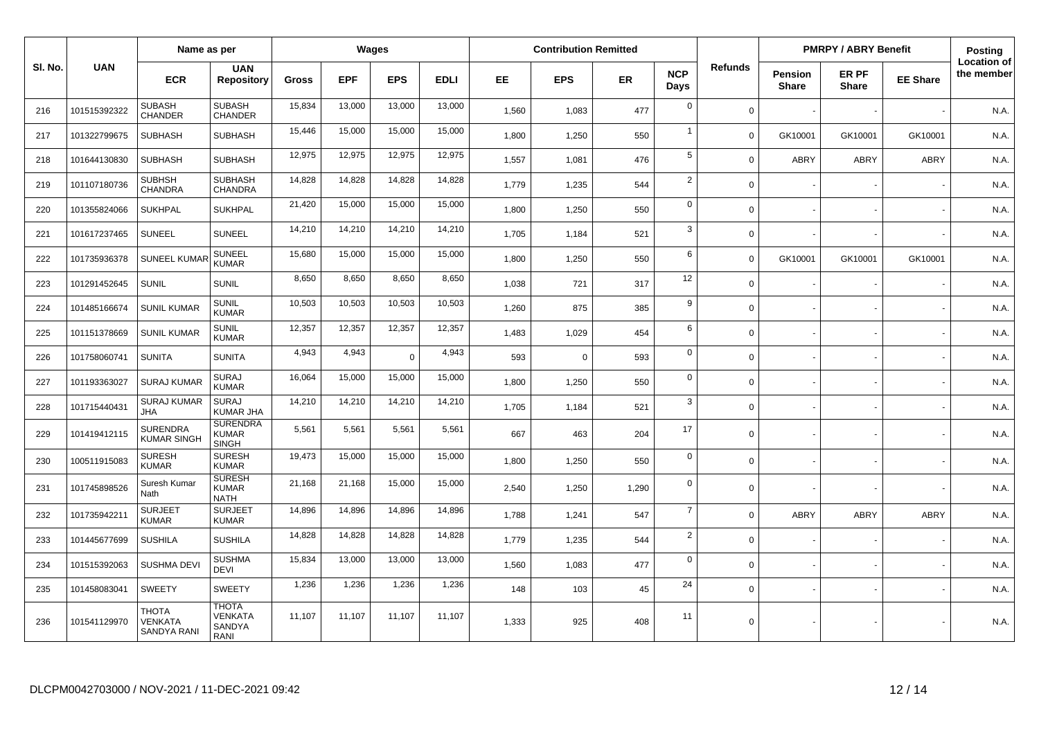|         |              | Name as per                                   |                                                  |              |            | Wages      |             |           | <b>Contribution Remitted</b> |           |                    |                |                         | <b>PMRPY / ABRY Benefit</b> |                 | Posting                          |
|---------|--------------|-----------------------------------------------|--------------------------------------------------|--------------|------------|------------|-------------|-----------|------------------------------|-----------|--------------------|----------------|-------------------------|-----------------------------|-----------------|----------------------------------|
| SI. No. | <b>UAN</b>   | <b>ECR</b>                                    | <b>UAN</b><br><b>Repository</b>                  | <b>Gross</b> | <b>EPF</b> | <b>EPS</b> | <b>EDLI</b> | <b>EE</b> | <b>EPS</b>                   | <b>ER</b> | <b>NCP</b><br>Days | <b>Refunds</b> | Pension<br><b>Share</b> | ER PF<br><b>Share</b>       | <b>EE Share</b> | <b>Location of</b><br>the member |
| 216     | 101515392322 | <b>SUBASH</b><br><b>CHANDER</b>               | <b>SUBASH</b><br><b>CHANDER</b>                  | 15,834       | 13,000     | 13,000     | 13,000      | 1,560     | 1,083                        | 477       | $\mathbf 0$        | $\mathbf 0$    |                         |                             |                 | N.A.                             |
| 217     | 101322799675 | <b>SUBHASH</b>                                | <b>SUBHASH</b>                                   | 15,446       | 15,000     | 15,000     | 15,000      | 1.800     | 1,250                        | 550       | $\overline{1}$     | $\Omega$       | GK10001                 | GK10001                     | GK10001         | N.A.                             |
| 218     | 101644130830 | <b>SUBHASH</b>                                | <b>SUBHASH</b>                                   | 12,975       | 12,975     | 12,975     | 12,975      | 1,557     | 1,081                        | 476       | 5                  | $\Omega$       | ABRY                    | <b>ABRY</b>                 | ABRY            | N.A.                             |
| 219     | 101107180736 | <b>SUBHSH</b><br>CHANDRA                      | <b>SUBHASH</b><br>CHANDRA                        | 14,828       | 14,828     | 14,828     | 14,828      | 1,779     | 1,235                        | 544       | $\overline{2}$     | $\Omega$       |                         |                             |                 | N.A.                             |
| 220     | 101355824066 | <b>SUKHPAL</b>                                | <b>SUKHPAL</b>                                   | 21,420       | 15,000     | 15,000     | 15,000      | 1,800     | 1,250                        | 550       | $\mathbf 0$        | $\Omega$       |                         |                             |                 | N.A.                             |
| 221     | 101617237465 | <b>SUNEEL</b>                                 | <b>SUNEEL</b>                                    | 14,210       | 14,210     | 14,210     | 14,210      | 1,705     | 1,184                        | 521       | $\mathbf{3}$       | $\Omega$       |                         |                             |                 | N.A.                             |
| 222     | 101735936378 | <b>SUNEEL KUMA</b>                            | SUNEEL<br><b>KUMAR</b>                           | 15,680       | 15,000     | 15,000     | 15,000      | 1,800     | 1,250                        | 550       | 6                  | $\mathbf 0$    | GK10001                 | GK10001                     | GK10001         | N.A.                             |
| 223     | 101291452645 | <b>SUNIL</b>                                  | <b>SUNIL</b>                                     | 8,650        | 8,650      | 8,650      | 8,650       | 1,038     | 721                          | 317       | 12                 | $\Omega$       |                         |                             |                 | N.A.                             |
| 224     | 101485166674 | <b>SUNIL KUMAR</b>                            | <b>SUNIL</b><br><b>KUMAR</b>                     | 10,503       | 10,503     | 10,503     | 10,503      | 1,260     | 875                          | 385       | 9                  | $\Omega$       |                         |                             |                 | N.A.                             |
| 225     | 101151378669 | <b>SUNIL KUMAR</b>                            | <b>SUNIL</b><br><b>KUMAR</b>                     | 12,357       | 12,357     | 12,357     | 12,357      | 1,483     | 1,029                        | 454       | 6                  | $\Omega$       |                         |                             |                 | N.A.                             |
| 226     | 101758060741 | <b>SUNITA</b>                                 | <b>SUNITA</b>                                    | 4,943        | 4,943      | $\Omega$   | 4,943       | 593       | $\Omega$                     | 593       | $\mathbf 0$        | $\Omega$       |                         |                             |                 | N.A.                             |
| 227     | 101193363027 | <b>SURAJ KUMAR</b>                            | <b>SURAJ</b><br><b>KUMAR</b>                     | 16,064       | 15,000     | 15,000     | 15,000      | 1,800     | 1,250                        | 550       | $\mathbf 0$        | $\Omega$       |                         |                             |                 | N.A.                             |
| 228     | 101715440431 | <b>SURAJ KUMAR</b><br>JHA                     | <b>SURAJ</b><br>KUMAR JHA                        | 14,210       | 14,210     | 14,210     | 14,210      | 1,705     | 1,184                        | 521       | 3                  | $\mathbf 0$    |                         |                             |                 | N.A.                             |
| 229     | 101419412115 | <b>SURENDRA</b><br><b>KUMAR SINGH</b>         | <b>SURENDRA</b><br><b>KUMAR</b><br><b>SINGH</b>  | 5,561        | 5,561      | 5,561      | 5,561       | 667       | 463                          | 204       | 17                 | $\Omega$       |                         |                             |                 | N.A.                             |
| 230     | 100511915083 | <b>SURESH</b><br><b>KUMAR</b>                 | <b>SURESH</b><br><b>KUMAR</b>                    | 19,473       | 15,000     | 15,000     | 15,000      | 1,800     | 1,250                        | 550       | $\mathbf 0$        | $\Omega$       |                         |                             |                 | N.A.                             |
| 231     | 101745898526 | Suresh Kumar<br><b>Nath</b>                   | <b>SURESH</b><br><b>KUMAR</b><br><b>NATH</b>     | 21,168       | 21,168     | 15,000     | 15,000      | 2,540     | 1,250                        | 1,290     | $\mathbf 0$        | $\Omega$       |                         |                             |                 | N.A.                             |
| 232     | 101735942211 | <b>SURJEET</b><br><b>KUMAR</b>                | <b>SURJEET</b><br><b>KUMAR</b>                   | 14,896       | 14,896     | 14,896     | 14,896      | 1,788     | 1,241                        | 547       | $\overline{7}$     | $\Omega$       | ABRY                    | <b>ABRY</b>                 | <b>ABRY</b>     | N.A.                             |
| 233     | 101445677699 | <b>SUSHILA</b>                                | <b>SUSHILA</b>                                   | 14,828       | 14,828     | 14,828     | 14,828      | 1,779     | 1,235                        | 544       | $\overline{2}$     | $\Omega$       |                         |                             |                 | N.A.                             |
| 234     | 101515392063 | <b>SUSHMA DEVI</b>                            | <b>SUSHMA</b><br><b>DEVI</b>                     | 15,834       | 13,000     | 13,000     | 13,000      | 1,560     | 1,083                        | 477       | $\mathbf 0$        | $\Omega$       |                         |                             |                 | N.A.                             |
| 235     | 101458083041 | <b>SWEETY</b>                                 | <b>SWEETY</b>                                    | 1,236        | 1,236      | 1,236      | 1,236       | 148       | 103                          | 45        | 24                 | $\Omega$       |                         |                             |                 | N.A.                             |
| 236     | 101541129970 | <b>THOTA</b><br>VENKATA<br><b>SANDYA RANI</b> | <b>THOTA</b><br>VENKATA<br>SANDYA<br><b>RANI</b> | 11,107       | 11,107     | 11,107     | 11,107      | 1.333     | 925                          | 408       | 11                 | $\Omega$       |                         |                             |                 | N.A.                             |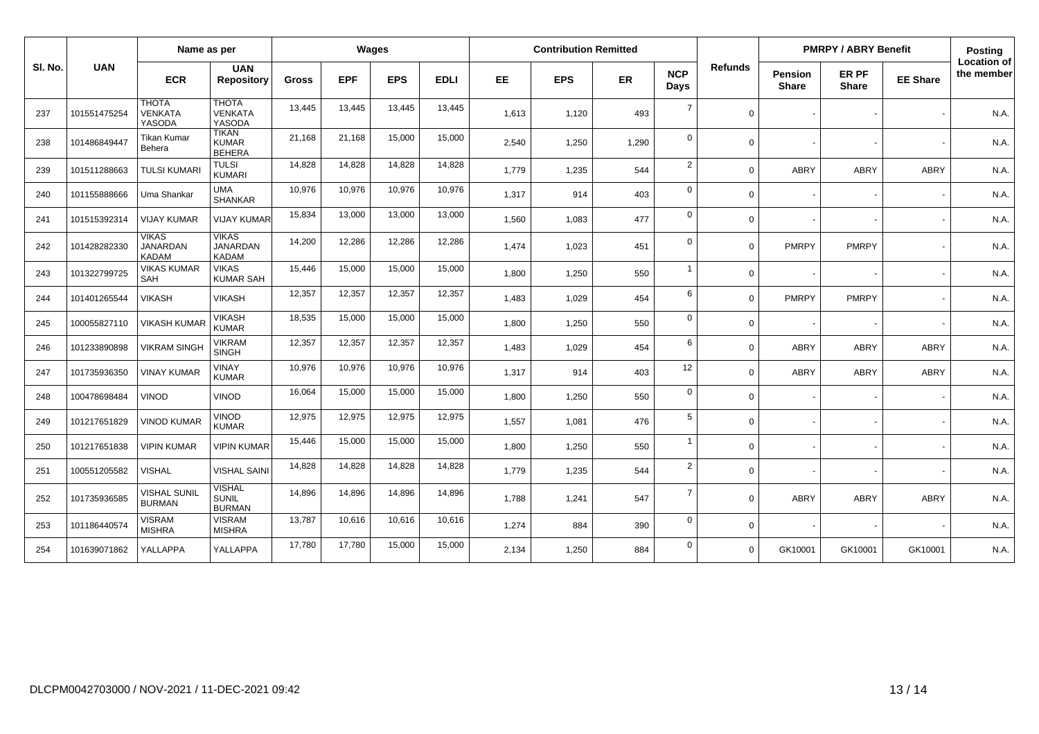| SI. No. | <b>UAN</b>   | Name as per                              |                                                | Wages        |            |            |             | <b>Contribution Remitted</b> |            |       |                    |                | <b>PMRPY / ABRY Benefit</b>    |                       |                 | Posting                          |
|---------|--------------|------------------------------------------|------------------------------------------------|--------------|------------|------------|-------------|------------------------------|------------|-------|--------------------|----------------|--------------------------------|-----------------------|-----------------|----------------------------------|
|         |              | <b>ECR</b>                               | <b>UAN</b><br><b>Repository</b>                | <b>Gross</b> | <b>EPF</b> | <b>EPS</b> | <b>EDLI</b> | <b>EE</b>                    | <b>EPS</b> | ER    | <b>NCP</b><br>Days | <b>Refunds</b> | <b>Pension</b><br><b>Share</b> | ER PF<br><b>Share</b> | <b>EE Share</b> | <b>Location of</b><br>the member |
| 237     | 101551475254 | <b>THOTA</b><br><b>VENKATA</b><br>YASODA | <b>THOTA</b><br><b>VENKATA</b><br>YASODA       | 13,445       | 13,445     | 13,445     | 13,445      | 1.613                        | 1.120      | 493   | $\overline{7}$     | $\mathbf 0$    |                                |                       |                 | N.A.                             |
| 238     | 101486849447 | Tikan Kumar<br>Behera                    | <b>TIKAN</b><br><b>KUMAR</b><br><b>BEHERA</b>  | 21,168       | 21,168     | 15,000     | 15,000      | 2.540                        | 1,250      | 1,290 | $\Omega$           | $\Omega$       |                                |                       |                 | N.A.                             |
| 239     | 101511288663 | <b>TULSI KUMARI</b>                      | <b>TULSI</b><br><b>KUMARI</b>                  | 14,828       | 14,828     | 14,828     | 14,828      | 1,779                        | 1,235      | 544   | $\overline{2}$     | $\Omega$       | <b>ABRY</b>                    | <b>ABRY</b>           | <b>ABRY</b>     | N.A.                             |
| 240     | 101155888666 | Uma Shankar                              | <b>UMA</b><br><b>SHANKAR</b>                   | 10,976       | 10,976     | 10,976     | 10,976      | 1,317                        | 914        | 403   | $\mathbf{0}$       | $\Omega$       |                                |                       |                 | N.A.                             |
| 241     | 101515392314 | VIJAY KUMAR                              | VIJAY KUMARİ                                   | 15,834       | 13,000     | 13,000     | 13,000      | 1,560                        | 1,083      | 477   | $\Omega$           | $\Omega$       |                                |                       |                 | N.A.                             |
| 242     | 101428282330 | VIKAS<br><b>JANARDAN</b><br><b>KADAM</b> | VIKAS<br><b>JANARDAN</b><br><b>KADAM</b>       | 14,200       | 12,286     | 12,286     | 12,286      | 1,474                        | 1,023      | 451   | $\Omega$           | $\overline{0}$ | <b>PMRPY</b>                   | <b>PMRPY</b>          |                 | N.A.                             |
| 243     | 101322799725 | <b>VIKAS KUMAR</b><br>SAH                | <b>VIKAS</b><br><b>KUMAR SAH</b>               | 15.446       | 15,000     | 15,000     | 15,000      | 1,800                        | 1,250      | 550   | $\mathbf{1}$       | $\Omega$       |                                |                       |                 | N.A.                             |
| 244     | 101401265544 | VIKASH                                   | <b>VIKASH</b>                                  | 12,357       | 12,357     | 12,357     | 12,357      | 1,483                        | 1,029      | 454   | 6                  | $\Omega$       | <b>PMRPY</b>                   | <b>PMRPY</b>          |                 | N.A.                             |
| 245     | 100055827110 | VIKASH KUMAR                             | <b>VIKASH</b><br><b>KUMAR</b>                  | 18,535       | 15,000     | 15,000     | 15,000      | 1,800                        | 1,250      | 550   | $\mathbf 0$        | $\mathbf 0$    |                                |                       |                 | N.A.                             |
| 246     | 101233890898 | VIKRAM SINGH                             | <b>VIKRAM</b><br><b>SINGH</b>                  | 12,357       | 12,357     | 12,357     | 12,357      | 1,483                        | 1,029      | 454   | 6                  | $\Omega$       | <b>ABRY</b>                    | ABRY                  | <b>ABRY</b>     | N.A.                             |
| 247     | 101735936350 | <b>VINAY KUMAR</b>                       | <b>VINAY</b><br><b>KUMAR</b>                   | 10,976       | 10,976     | 10,976     | 10,976      | 1,317                        | 914        | 403   | 12                 | $\Omega$       | <b>ABRY</b>                    | <b>ABRY</b>           | <b>ABRY</b>     | N.A.                             |
| 248     | 100478698484 | VINOD                                    | <b>VINOD</b>                                   | 16,064       | 15,000     | 15,000     | 15,000      | 1.800                        | 1,250      | 550   | $\mathbf{0}$       | $\Omega$       |                                |                       |                 | N.A.                             |
| 249     | 101217651829 | <b>VINOD KUMAR</b>                       | <b>VINOD</b><br><b>KUMAR</b>                   | 12,975       | 12,975     | 12,975     | 12,975      | 1,557                        | 1,081      | 476   | 5                  | $\overline{0}$ |                                |                       |                 | N.A.                             |
| 250     | 101217651838 | <b>VIPIN KUMAR</b>                       | <b>VIPIN KUMAR</b>                             | 15,446       | 15,000     | 15,000     | 15,000      | 1,800                        | 1,250      | 550   | $\mathbf{1}$       | $\Omega$       |                                |                       |                 | N.A.                             |
| 251     | 100551205582 | <b>VISHAL</b>                            | <b>VISHAL SAINI</b>                            | 14,828       | 14,828     | 14,828     | 14,828      | 1,779                        | 1,235      | 544   | $\overline{2}$     | $\Omega$       |                                |                       |                 | N.A.                             |
| 252     | 101735936585 | VISHAL SUNIL<br><b>BURMAN</b>            | <b>VISHAL</b><br><b>SUNIL</b><br><b>BURMAN</b> | 14,896       | 14,896     | 14,896     | 14,896      | 1,788                        | 1,241      | 547   | $\overline{7}$     | $\Omega$       | <b>ABRY</b>                    | <b>ABRY</b>           | <b>ABRY</b>     | N.A.                             |
| 253     | 101186440574 | VISRAM<br><b>MISHRA</b>                  | <b>VISRAM</b><br><b>MISHRA</b>                 | 13,787       | 10,616     | 10,616     | 10,616      | 1,274                        | 884        | 390   | 0                  | $\Omega$       |                                |                       |                 | N.A.                             |
| 254     | 101639071862 | YALLAPPA                                 | YALLAPPA                                       | 17,780       | 17,780     | 15,000     | 15,000      | 2,134                        | 1,250      | 884   | $\mathbf 0$        | $\overline{0}$ | GK10001                        | GK10001               | GK10001         | N.A.                             |